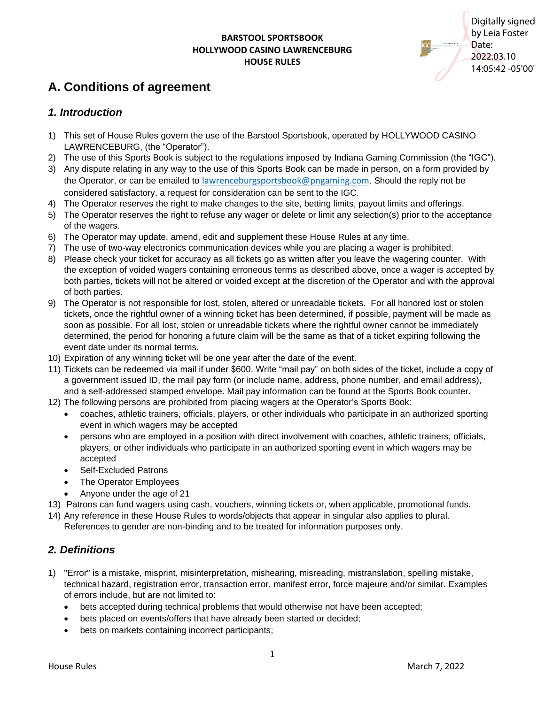**APPROVED** INDIANA GAMING COMMISSION Digitally signed by Leia Foster Date: 2022.03.10 14:05:42 -05'00'

# **A. Conditions of agreement**

### *1. Introduction*

- 1) This set of House Rules govern the use of the Barstool Sportsbook, operated by HOLLYWOOD CASINO LAWRENCEBURG, (the "Operator").
- 2) The use of this Sports Book is subject to the regulations imposed by Indiana Gaming Commission (the "IGC").
- 3) Any dispute relating in any way to the use of this Sports Book can be made in person, on a form provided by the Operator, or can be emailed to [lawrenceburgsportsbook@pngaming.com](mailto:lawrenceburgsportsbook@pngaming.com). Should the reply not be considered satisfactory, a request for consideration can be sent to the IGC.
- 4) The Operator reserves the right to make changes to the site, betting limits, payout limits and offerings.
- 5) The Operator reserves the right to refuse any wager or delete or limit any selection(s) prior to the acceptance of the wagers.
- 6) The Operator may update, amend, edit and supplement these House Rules at any time.
- 7) The use of two-way electronics communication devices while you are placing a wager is prohibited.
- 8) Please check your ticket for accuracy as all tickets go as written after you leave the wagering counter. With the exception of voided wagers containing erroneous terms as described above, once a wager is accepted by both parties, tickets will not be altered or voided except at the discretion of the Operator and with the approval of both parties.
- 9) The Operator is not responsible for lost, stolen, altered or unreadable tickets. For all honored lost or stolen tickets, once the rightful owner of a winning ticket has been determined, if possible, payment will be made as soon as possible. For all lost, stolen or unreadable tickets where the rightful owner cannot be immediately determined, the period for honoring a future claim will be the same as that of a ticket expiring following the event date under its normal terms.
- 10) Expiration of any winning ticket will be one year after the date of the event.
- 11) Tickets can be redeemed via mail if under \$600. Write "mail pay" on both sides of the ticket, include a copy of a government issued ID, the mail pay form (or include name, address, phone number, and email address), and a self-addressed stamped envelope. Mail pay information can be found at the Sports Book counter.
- 12) The following persons are prohibited from placing wagers at the Operator's Sports Book:
	- coaches, athletic trainers, officials, players, or other individuals who participate in an authorized sporting event in which wagers may be accepted
	- persons who are employed in a position with direct involvement with coaches, athletic trainers, officials, players, or other individuals who participate in an authorized sporting event in which wagers may be accepted
	- Self-Excluded Patrons
	- The Operator Employees
	- Anyone under the age of 21
- 13) Patrons can fund wagers using cash, vouchers, winning tickets or, when applicable, promotional funds.
- 14) Any reference in these House Rules to words/objects that appear in singular also applies to plural.

References to gender are non-binding and to be treated for information purposes only.

### *2. Definitions*

- 1) "Error" is a mistake, misprint, misinterpretation, mishearing, misreading, mistranslation, spelling mistake, technical hazard, registration error, transaction error, manifest error, force majeure and/or similar. Examples of errors include, but are not limited to:
	- bets accepted during technical problems that would otherwise not have been accepted;
	- bets placed on events/offers that have already been started or decided;
	- bets on markets containing incorrect participants;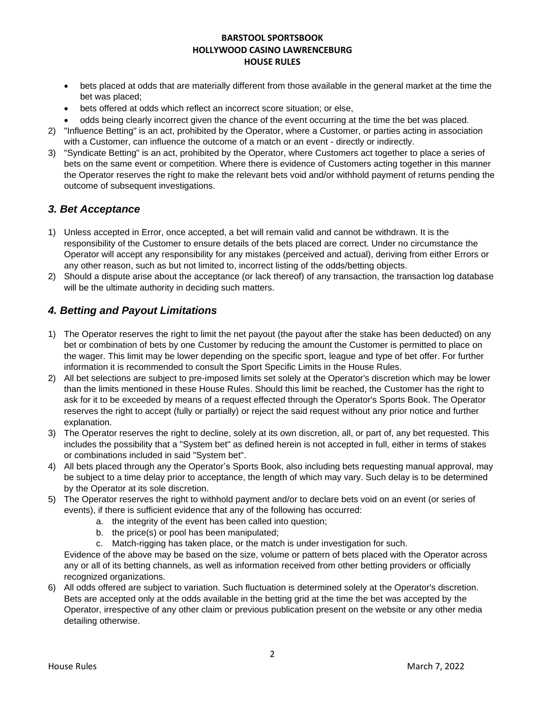- bets placed at odds that are materially different from those available in the general market at the time the bet was placed;
- bets offered at odds which reflect an incorrect score situation; or else,
- odds being clearly incorrect given the chance of the event occurring at the time the bet was placed.
- 2) "Influence Betting" is an act, prohibited by the Operator, where a Customer, or parties acting in association with a Customer, can influence the outcome of a match or an event - directly or indirectly.
- 3) "Syndicate Betting" is an act, prohibited by the Operator, where Customers act together to place a series of bets on the same event or competition. Where there is evidence of Customers acting together in this manner the Operator reserves the right to make the relevant bets void and/or withhold payment of returns pending the outcome of subsequent investigations.

## *3. Bet Acceptance*

- 1) Unless accepted in Error, once accepted, a bet will remain valid and cannot be withdrawn. It is the responsibility of the Customer to ensure details of the bets placed are correct. Under no circumstance the Operator will accept any responsibility for any mistakes (perceived and actual), deriving from either Errors or any other reason, such as but not limited to, incorrect listing of the odds/betting objects.
- 2) Should a dispute arise about the acceptance (or lack thereof) of any transaction, the transaction log database will be the ultimate authority in deciding such matters.

# *4. Betting and Payout Limitations*

- 1) The Operator reserves the right to limit the net payout (the payout after the stake has been deducted) on any bet or combination of bets by one Customer by reducing the amount the Customer is permitted to place on the wager. This limit may be lower depending on the specific sport, league and type of bet offer. For further information it is recommended to consult the Sport Specific Limits in the House Rules.
- 2) All bet selections are subject to pre-imposed limits set solely at the Operator's discretion which may be lower than the limits mentioned in these House Rules. Should this limit be reached, the Customer has the right to ask for it to be exceeded by means of a request effected through the Operator's Sports Book. The Operator reserves the right to accept (fully or partially) or reject the said request without any prior notice and further explanation.
- 3) The Operator reserves the right to decline, solely at its own discretion, all, or part of, any bet requested. This includes the possibility that a "System bet" as defined herein is not accepted in full, either in terms of stakes or combinations included in said "System bet".
- 4) All bets placed through any the Operator's Sports Book, also including bets requesting manual approval, may be subject to a time delay prior to acceptance, the length of which may vary. Such delay is to be determined by the Operator at its sole discretion.
- 5) The Operator reserves the right to withhold payment and/or to declare bets void on an event (or series of events), if there is sufficient evidence that any of the following has occurred:
	- a. the integrity of the event has been called into question;
	- b. the price(s) or pool has been manipulated;
	- c. Match-rigging has taken place, or the match is under investigation for such.

Evidence of the above may be based on the size, volume or pattern of bets placed with the Operator across any or all of its betting channels, as well as information received from other betting providers or officially recognized organizations.

6) All odds offered are subject to variation. Such fluctuation is determined solely at the Operator's discretion. Bets are accepted only at the odds available in the betting grid at the time the bet was accepted by the Operator, irrespective of any other claim or previous publication present on the website or any other media detailing otherwise.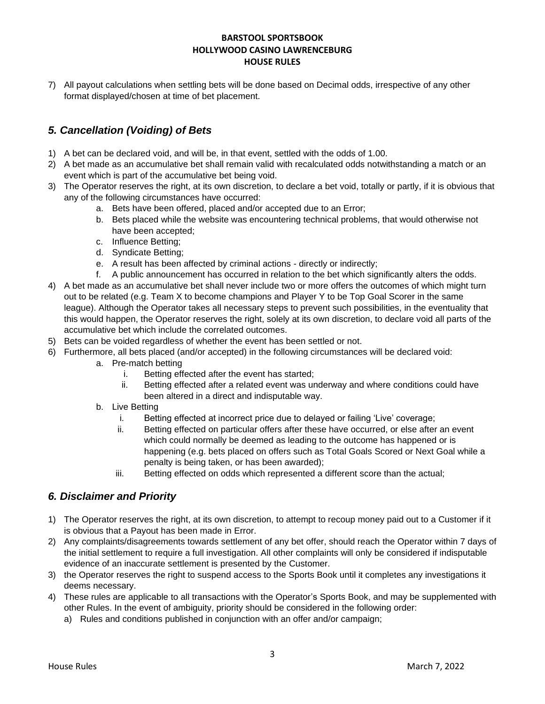7) All payout calculations when settling bets will be done based on Decimal odds, irrespective of any other format displayed/chosen at time of bet placement.

# *5. Cancellation (Voiding) of Bets*

- 1) A bet can be declared void, and will be, in that event, settled with the odds of 1.00.
- 2) A bet made as an accumulative bet shall remain valid with recalculated odds notwithstanding a match or an event which is part of the accumulative bet being void.
- 3) The Operator reserves the right, at its own discretion, to declare a bet void, totally or partly, if it is obvious that any of the following circumstances have occurred:
	- a. Bets have been offered, placed and/or accepted due to an Error;
	- b. Bets placed while the website was encountering technical problems, that would otherwise not have been accepted;
	- c. Influence Betting;
	- d. Syndicate Betting;
	- e. A result has been affected by criminal actions directly or indirectly;
	- f. A public announcement has occurred in relation to the bet which significantly alters the odds.
- 4) A bet made as an accumulative bet shall never include two or more offers the outcomes of which might turn out to be related (e.g. Team X to become champions and Player Y to be Top Goal Scorer in the same league). Although the Operator takes all necessary steps to prevent such possibilities, in the eventuality that this would happen, the Operator reserves the right, solely at its own discretion, to declare void all parts of the accumulative bet which include the correlated outcomes.
- 5) Bets can be voided regardless of whether the event has been settled or not.
- 6) Furthermore, all bets placed (and/or accepted) in the following circumstances will be declared void:
	- a. Pre-match betting
		- i. Betting effected after the event has started;
		- ii. Betting effected after a related event was underway and where conditions could have been altered in a direct and indisputable way.
	- b. Live Betting
		- i. Betting effected at incorrect price due to delayed or failing 'Live' coverage;
		- ii. Betting effected on particular offers after these have occurred, or else after an event which could normally be deemed as leading to the outcome has happened or is happening (e.g. bets placed on offers such as Total Goals Scored or Next Goal while a penalty is being taken, or has been awarded);
		- iii. Betting effected on odds which represented a different score than the actual;

### *6. Disclaimer and Priority*

- 1) The Operator reserves the right, at its own discretion, to attempt to recoup money paid out to a Customer if it is obvious that a Payout has been made in Error.
- 2) Any complaints/disagreements towards settlement of any bet offer, should reach the Operator within 7 days of the initial settlement to require a full investigation. All other complaints will only be considered if indisputable evidence of an inaccurate settlement is presented by the Customer.
- 3) the Operator reserves the right to suspend access to the Sports Book until it completes any investigations it deems necessary.
- 4) These rules are applicable to all transactions with the Operator's Sports Book, and may be supplemented with other Rules. In the event of ambiguity, priority should be considered in the following order:
	- a) Rules and conditions published in conjunction with an offer and/or campaign;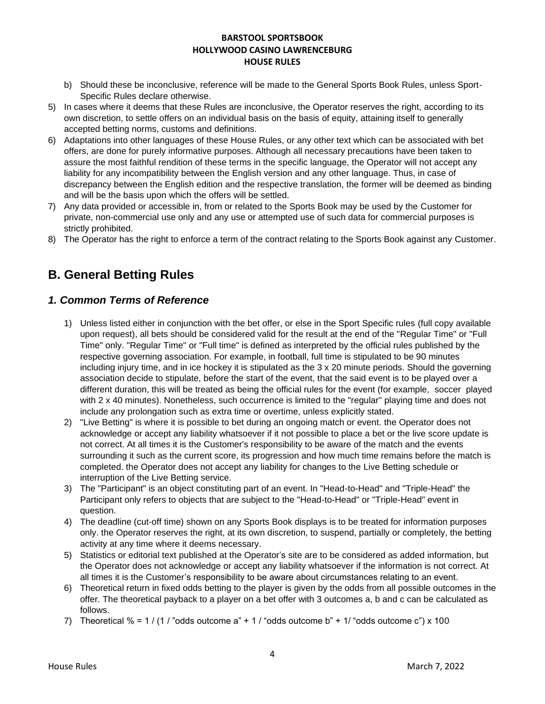- b) Should these be inconclusive, reference will be made to the General Sports Book Rules, unless Sport-Specific Rules declare otherwise.
- 5) In cases where it deems that these Rules are inconclusive, the Operator reserves the right, according to its own discretion, to settle offers on an individual basis on the basis of equity, attaining itself to generally accepted betting norms, customs and definitions.
- 6) Adaptations into other languages of these House Rules, or any other text which can be associated with bet offers, are done for purely informative purposes. Although all necessary precautions have been taken to assure the most faithful rendition of these terms in the specific language, the Operator will not accept any liability for any incompatibility between the English version and any other language. Thus, in case of discrepancy between the English edition and the respective translation, the former will be deemed as binding and will be the basis upon which the offers will be settled.
- 7) Any data provided or accessible in, from or related to the Sports Book may be used by the Customer for private, non-commercial use only and any use or attempted use of such data for commercial purposes is strictly prohibited.
- 8) The Operator has the right to enforce a term of the contract relating to the Sports Book against any Customer.

# **B. General Betting Rules**

### *1. Common Terms of Reference*

- 1) Unless listed either in conjunction with the bet offer, or else in the Sport Specific rules (full copy available upon request), all bets should be considered valid for the result at the end of the "Regular Time" or "Full Time" only. "Regular Time" or "Full time" is defined as interpreted by the official rules published by the respective governing association. For example, in football, full time is stipulated to be 90 minutes including injury time, and in ice hockey it is stipulated as the 3 x 20 minute periods. Should the governing association decide to stipulate, before the start of the event, that the said event is to be played over a different duration, this will be treated as being the official rules for the event (for example, soccer played with 2 x 40 minutes). Nonetheless, such occurrence is limited to the "regular" playing time and does not include any prolongation such as extra time or overtime, unless explicitly stated.
- 2) "Live Betting" is where it is possible to bet during an ongoing match or event. the Operator does not acknowledge or accept any liability whatsoever if it not possible to place a bet or the live score update is not correct. At all times it is the Customer's responsibility to be aware of the match and the events surrounding it such as the current score, its progression and how much time remains before the match is completed. the Operator does not accept any liability for changes to the Live Betting schedule or interruption of the Live Betting service.
- 3) The "Participant" is an object constituting part of an event. In "Head-to-Head" and "Triple-Head" the Participant only refers to objects that are subject to the "Head-to-Head" or "Triple-Head" event in question.
- 4) The deadline (cut-off time) shown on any Sports Book displays is to be treated for information purposes only. the Operator reserves the right, at its own discretion, to suspend, partially or completely, the betting activity at any time where it deems necessary.
- 5) Statistics or editorial text published at the Operator's site are to be considered as added information, but the Operator does not acknowledge or accept any liability whatsoever if the information is not correct. At all times it is the Customer's responsibility to be aware about circumstances relating to an event.
- 6) Theoretical return in fixed odds betting to the player is given by the odds from all possible outcomes in the offer. The theoretical payback to a player on a bet offer with 3 outcomes a, b and c can be calculated as follows.
- 7) Theoretical % = 1 / (1 / "odds outcome  $a'' + 1$  / "odds outcome b" + 1/ "odds outcome c") x 100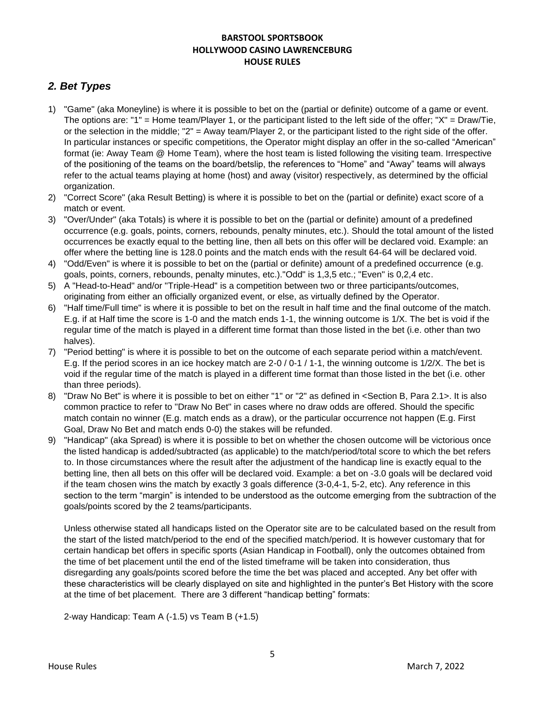# *2. Bet Types*

- 1) "Game" (aka Moneyline) is where it is possible to bet on the (partial or definite) outcome of a game or event. The options are: "1" = Home team/Player 1, or the participant listed to the left side of the offer; "X" = Draw/Tie, or the selection in the middle; "2" = Away team/Player 2, or the participant listed to the right side of the offer. In particular instances or specific competitions, the Operator might display an offer in the so-called "American" format (ie: Away Team @ Home Team), where the host team is listed following the visiting team. Irrespective of the positioning of the teams on the board/betslip, the references to "Home" and "Away" teams will always refer to the actual teams playing at home (host) and away (visitor) respectively, as determined by the official organization.
- 2) "Correct Score" (aka Result Betting) is where it is possible to bet on the (partial or definite) exact score of a match or event.
- 3) "Over/Under" (aka Totals) is where it is possible to bet on the (partial or definite) amount of a predefined occurrence (e.g. goals, points, corners, rebounds, penalty minutes, etc.). Should the total amount of the listed occurrences be exactly equal to the betting line, then all bets on this offer will be declared void. Example: an offer where the betting line is 128.0 points and the match ends with the result 64-64 will be declared void.
- 4) "Odd/Even" is where it is possible to bet on the (partial or definite) amount of a predefined occurrence (e.g. goals, points, corners, rebounds, penalty minutes, etc.)."Odd" is 1,3,5 etc.; "Even" is 0,2,4 etc.
- 5) A "Head-to-Head" and/or "Triple-Head" is a competition between two or three participants/outcomes, originating from either an officially organized event, or else, as virtually defined by the Operator.
- 6) "Half time/Full time" is where it is possible to bet on the result in half time and the final outcome of the match. E.g. if at Half time the score is 1-0 and the match ends 1-1, the winning outcome is 1/X. The bet is void if the regular time of the match is played in a different time format than those listed in the bet (i.e. other than two halves).
- 7) "Period betting" is where it is possible to bet on the outcome of each separate period within a match/event. E.g. If the period scores in an ice hockey match are 2-0 / 0-1 / 1-1, the winning outcome is 1/2/X. The bet is void if the regular time of the match is played in a different time format than those listed in the bet (i.e. other than three periods).
- 8) "Draw No Bet" is where it is possible to bet on either "1" or "2" as defined in <Section B, Para 2.1>. It is also common practice to refer to "Draw No Bet" in cases where no draw odds are offered. Should the specific match contain no winner (E.g. match ends as a draw), or the particular occurrence not happen (E.g. First Goal, Draw No Bet and match ends 0-0) the stakes will be refunded.
- 9) "Handicap" (aka Spread) is where it is possible to bet on whether the chosen outcome will be victorious once the listed handicap is added/subtracted (as applicable) to the match/period/total score to which the bet refers to. In those circumstances where the result after the adjustment of the handicap line is exactly equal to the betting line, then all bets on this offer will be declared void. Example: a bet on -3.0 goals will be declared void if the team chosen wins the match by exactly 3 goals difference (3-0,4-1, 5-2, etc). Any reference in this section to the term "margin" is intended to be understood as the outcome emerging from the subtraction of the goals/points scored by the 2 teams/participants.

Unless otherwise stated all handicaps listed on the Operator site are to be calculated based on the result from the start of the listed match/period to the end of the specified match/period. It is however customary that for certain handicap bet offers in specific sports (Asian Handicap in Football), only the outcomes obtained from the time of bet placement until the end of the listed timeframe will be taken into consideration, thus disregarding any goals/points scored before the time the bet was placed and accepted. Any bet offer with these characteristics will be clearly displayed on site and highlighted in the punter's Bet History with the score at the time of bet placement. There are 3 different "handicap betting" formats:

2-way Handicap: Team A (-1.5) vs Team B (+1.5)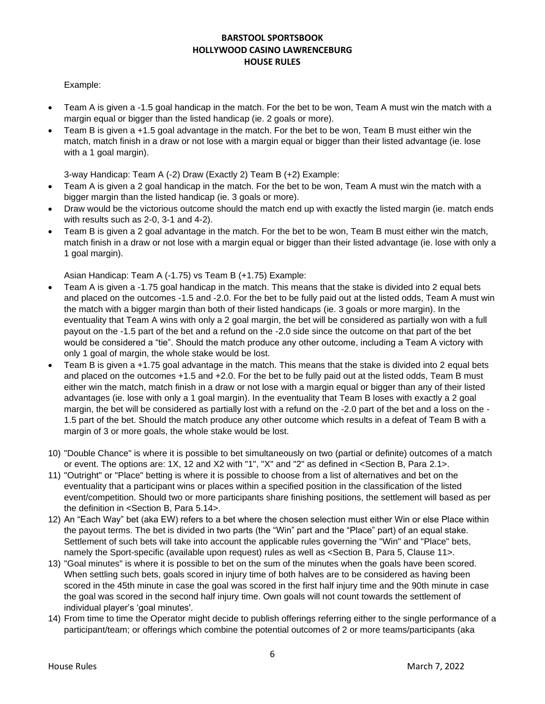#### Example:

- Team A is given a -1.5 goal handicap in the match. For the bet to be won, Team A must win the match with a margin equal or bigger than the listed handicap (ie. 2 goals or more).
- Team B is given a +1.5 goal advantage in the match. For the bet to be won, Team B must either win the match, match finish in a draw or not lose with a margin equal or bigger than their listed advantage (ie. lose with a 1 goal margin).

3-way Handicap: Team A (-2) Draw (Exactly 2) Team B (+2) Example:

- Team A is given a 2 goal handicap in the match. For the bet to be won, Team A must win the match with a bigger margin than the listed handicap (ie. 3 goals or more).
- Draw would be the victorious outcome should the match end up with exactly the listed margin (ie. match ends with results such as 2-0, 3-1 and 4-2).
- Team B is given a 2 goal advantage in the match. For the bet to be won, Team B must either win the match, match finish in a draw or not lose with a margin equal or bigger than their listed advantage (ie. lose with only a 1 goal margin).

Asian Handicap: Team A (-1.75) vs Team B (+1.75) Example:

- Team A is given a -1.75 goal handicap in the match. This means that the stake is divided into 2 equal bets and placed on the outcomes -1.5 and -2.0. For the bet to be fully paid out at the listed odds, Team A must win the match with a bigger margin than both of their listed handicaps (ie. 3 goals or more margin). In the eventuality that Team A wins with only a 2 goal margin, the bet will be considered as partially won with a full payout on the -1.5 part of the bet and a refund on the -2.0 side since the outcome on that part of the bet would be considered a "tie". Should the match produce any other outcome, including a Team A victory with only 1 goal of margin, the whole stake would be lost.
- Team B is given a +1.75 goal advantage in the match. This means that the stake is divided into 2 equal bets and placed on the outcomes +1.5 and +2.0. For the bet to be fully paid out at the listed odds, Team B must either win the match, match finish in a draw or not lose with a margin equal or bigger than any of their listed advantages (ie. lose with only a 1 goal margin). In the eventuality that Team B loses with exactly a 2 goal margin, the bet will be considered as partially lost with a refund on the -2.0 part of the bet and a loss on the - 1.5 part of the bet. Should the match produce any other outcome which results in a defeat of Team B with a margin of 3 or more goals, the whole stake would be lost.
- 10) "Double Chance" is where it is possible to bet simultaneously on two (partial or definite) outcomes of a match or event. The options are: 1X, 12 and X2 with "1", "X" and "2" as defined in <Section B, Para 2.1>.
- 11) "Outright" or "Place" betting is where it is possible to choose from a list of alternatives and bet on the eventuality that a participant wins or places within a specified position in the classification of the listed event/competition. Should two or more participants share finishing positions, the settlement will based as per the definition in <Section B, Para 5.14>.
- 12) An "Each Way" bet (aka EW) refers to a bet where the chosen selection must either Win or else Place within the payout terms. The bet is divided in two parts (the "Win" part and the "Place" part) of an equal stake. Settlement of such bets will take into account the applicable rules governing the "Win" and "Place" bets, namely the Sport-specific (available upon request) rules as well as <Section B, Para 5, Clause 11>.
- 13) "Goal minutes" is where it is possible to bet on the sum of the minutes when the goals have been scored. When settling such bets, goals scored in injury time of both halves are to be considered as having been scored in the 45th minute in case the goal was scored in the first half injury time and the 90th minute in case the goal was scored in the second half injury time. Own goals will not count towards the settlement of individual player's 'goal minutes'.
- 14) From time to time the Operator might decide to publish offerings referring either to the single performance of a participant/team; or offerings which combine the potential outcomes of 2 or more teams/participants (aka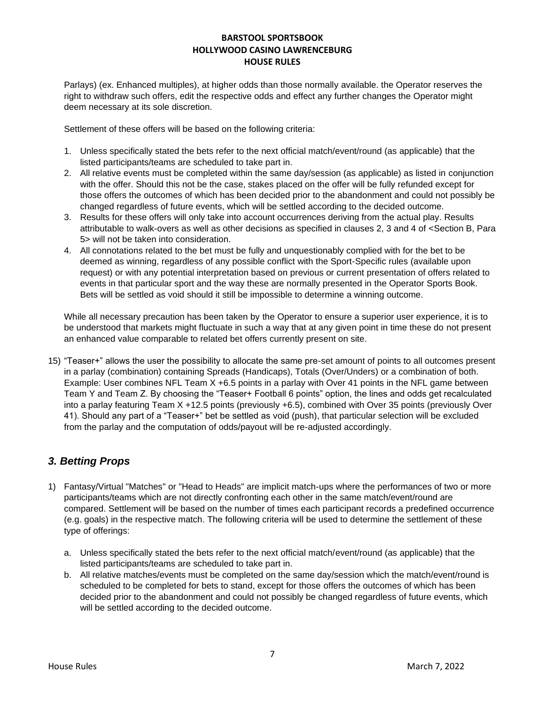Parlays) (ex. Enhanced multiples), at higher odds than those normally available. the Operator reserves the right to withdraw such offers, edit the respective odds and effect any further changes the Operator might deem necessary at its sole discretion.

Settlement of these offers will be based on the following criteria:

- 1. Unless specifically stated the bets refer to the next official match/event/round (as applicable) that the listed participants/teams are scheduled to take part in.
- 2. All relative events must be completed within the same day/session (as applicable) as listed in conjunction with the offer. Should this not be the case, stakes placed on the offer will be fully refunded except for those offers the outcomes of which has been decided prior to the abandonment and could not possibly be changed regardless of future events, which will be settled according to the decided outcome.
- 3. Results for these offers will only take into account occurrences deriving from the actual play. Results attributable to walk-overs as well as other decisions as specified in clauses 2, 3 and 4 of <Section B, Para 5> will not be taken into consideration.
- 4. All connotations related to the bet must be fully and unquestionably complied with for the bet to be deemed as winning, regardless of any possible conflict with the Sport-Specific rules (available upon request) or with any potential interpretation based on previous or current presentation of offers related to events in that particular sport and the way these are normally presented in the Operator Sports Book. Bets will be settled as void should it still be impossible to determine a winning outcome.

While all necessary precaution has been taken by the Operator to ensure a superior user experience, it is to be understood that markets might fluctuate in such a way that at any given point in time these do not present an enhanced value comparable to related bet offers currently present on site.

15) "Teaser+" allows the user the possibility to allocate the same pre-set amount of points to all outcomes present in a parlay (combination) containing Spreads (Handicaps), Totals (Over/Unders) or a combination of both. Example: User combines NFL Team X +6.5 points in a parlay with Over 41 points in the NFL game between Team Y and Team Z. By choosing the "Teaser+ Football 6 points" option, the lines and odds get recalculated into a parlay featuring Team X +12.5 points (previously +6.5), combined with Over 35 points (previously Over 41). Should any part of a "Teaser+" bet be settled as void (push), that particular selection will be excluded from the parlay and the computation of odds/payout will be re-adjusted accordingly.

# *3. Betting Props*

- 1) Fantasy/Virtual "Matches" or "Head to Heads" are implicit match-ups where the performances of two or more participants/teams which are not directly confronting each other in the same match/event/round are compared. Settlement will be based on the number of times each participant records a predefined occurrence (e.g. goals) in the respective match. The following criteria will be used to determine the settlement of these type of offerings:
	- a. Unless specifically stated the bets refer to the next official match/event/round (as applicable) that the listed participants/teams are scheduled to take part in.
	- b. All relative matches/events must be completed on the same day/session which the match/event/round is scheduled to be completed for bets to stand, except for those offers the outcomes of which has been decided prior to the abandonment and could not possibly be changed regardless of future events, which will be settled according to the decided outcome.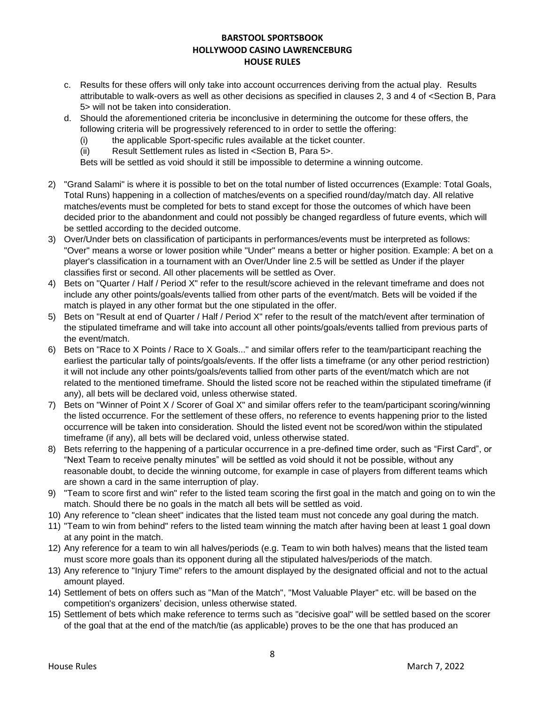- c. Results for these offers will only take into account occurrences deriving from the actual play. Results attributable to walk-overs as well as other decisions as specified in clauses 2, 3 and 4 of <Section B, Para 5> will not be taken into consideration.
- d. Should the aforementioned criteria be inconclusive in determining the outcome for these offers, the following criteria will be progressively referenced to in order to settle the offering:
	- (i) the applicable Sport-specific rules available at the ticket counter.
	- (ii) Result Settlement rules as listed in <Section B, Para 5>.

Bets will be settled as void should it still be impossible to determine a winning outcome.

- 2) "Grand Salami" is where it is possible to bet on the total number of listed occurrences (Example: Total Goals, Total Runs) happening in a collection of matches/events on a specified round/day/match day. All relative matches/events must be completed for bets to stand except for those the outcomes of which have been decided prior to the abandonment and could not possibly be changed regardless of future events, which will be settled according to the decided outcome.
- 3) Over/Under bets on classification of participants in performances/events must be interpreted as follows: "Over" means a worse or lower position while "Under" means a better or higher position. Example: A bet on a player's classification in a tournament with an Over/Under line 2.5 will be settled as Under if the player classifies first or second. All other placements will be settled as Over.
- 4) Bets on "Quarter / Half / Period X" refer to the result/score achieved in the relevant timeframe and does not include any other points/goals/events tallied from other parts of the event/match. Bets will be voided if the match is played in any other format but the one stipulated in the offer.
- 5) Bets on "Result at end of Quarter / Half / Period X" refer to the result of the match/event after termination of the stipulated timeframe and will take into account all other points/goals/events tallied from previous parts of the event/match.
- 6) Bets on "Race to X Points / Race to X Goals..." and similar offers refer to the team/participant reaching the earliest the particular tally of points/goals/events. If the offer lists a timeframe (or any other period restriction) it will not include any other points/goals/events tallied from other parts of the event/match which are not related to the mentioned timeframe. Should the listed score not be reached within the stipulated timeframe (if any), all bets will be declared void, unless otherwise stated.
- 7) Bets on "Winner of Point X / Scorer of Goal X" and similar offers refer to the team/participant scoring/winning the listed occurrence. For the settlement of these offers, no reference to events happening prior to the listed occurrence will be taken into consideration. Should the listed event not be scored/won within the stipulated timeframe (if any), all bets will be declared void, unless otherwise stated.
- 8) Bets referring to the happening of a particular occurrence in a pre-defined time order, such as "First Card", or "Next Team to receive penalty minutes" will be settled as void should it not be possible, without any reasonable doubt, to decide the winning outcome, for example in case of players from different teams which are shown a card in the same interruption of play.
- 9) "Team to score first and win" refer to the listed team scoring the first goal in the match and going on to win the match. Should there be no goals in the match all bets will be settled as void.
- 10) Any reference to "clean sheet" indicates that the listed team must not concede any goal during the match.
- 11) "Team to win from behind" refers to the listed team winning the match after having been at least 1 goal down at any point in the match.
- 12) Any reference for a team to win all halves/periods (e.g. Team to win both halves) means that the listed team must score more goals than its opponent during all the stipulated halves/periods of the match.
- 13) Any reference to "Injury Time" refers to the amount displayed by the designated official and not to the actual amount played.
- 14) Settlement of bets on offers such as "Man of the Match", "Most Valuable Player" etc. will be based on the competition's organizers' decision, unless otherwise stated.
- 15) Settlement of bets which make reference to terms such as "decisive goal" will be settled based on the scorer of the goal that at the end of the match/tie (as applicable) proves to be the one that has produced an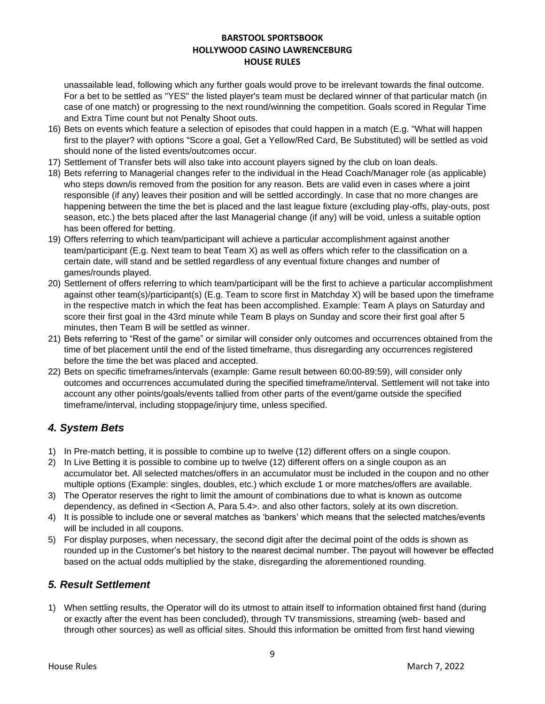unassailable lead, following which any further goals would prove to be irrelevant towards the final outcome. For a bet to be settled as "YES" the listed player's team must be declared winner of that particular match (in case of one match) or progressing to the next round/winning the competition. Goals scored in Regular Time and Extra Time count but not Penalty Shoot outs.

- 16) Bets on events which feature a selection of episodes that could happen in a match (E.g. "What will happen first to the player? with options "Score a goal, Get a Yellow/Red Card, Be Substituted) will be settled as void should none of the listed events/outcomes occur.
- 17) Settlement of Transfer bets will also take into account players signed by the club on loan deals.
- 18) Bets referring to Managerial changes refer to the individual in the Head Coach/Manager role (as applicable) who steps down/is removed from the position for any reason. Bets are valid even in cases where a joint responsible (if any) leaves their position and will be settled accordingly. In case that no more changes are happening between the time the bet is placed and the last league fixture (excluding play-offs, play-outs, post season, etc.) the bets placed after the last Managerial change (if any) will be void, unless a suitable option has been offered for betting.
- 19) Offers referring to which team/participant will achieve a particular accomplishment against another team/participant (E.g. Next team to beat Team X) as well as offers which refer to the classification on a certain date, will stand and be settled regardless of any eventual fixture changes and number of games/rounds played.
- 20) Settlement of offers referring to which team/participant will be the first to achieve a particular accomplishment against other team(s)/participant(s) (E.g. Team to score first in Matchday X) will be based upon the timeframe in the respective match in which the feat has been accomplished. Example: Team A plays on Saturday and score their first goal in the 43rd minute while Team B plays on Sunday and score their first goal after 5 minutes, then Team B will be settled as winner.
- 21) Bets referring to "Rest of the game" or similar will consider only outcomes and occurrences obtained from the time of bet placement until the end of the listed timeframe, thus disregarding any occurrences registered before the time the bet was placed and accepted.
- 22) Bets on specific timeframes/intervals (example: Game result between 60:00-89:59), will consider only outcomes and occurrences accumulated during the specified timeframe/interval. Settlement will not take into account any other points/goals/events tallied from other parts of the event/game outside the specified timeframe/interval, including stoppage/injury time, unless specified.

# *4. System Bets*

- 1) In Pre-match betting, it is possible to combine up to twelve (12) different offers on a single coupon.
- 2) In Live Betting it is possible to combine up to twelve (12) different offers on a single coupon as an accumulator bet. All selected matches/offers in an accumulator must be included in the coupon and no other multiple options (Example: singles, doubles, etc.) which exclude 1 or more matches/offers are available.
- 3) The Operator reserves the right to limit the amount of combinations due to what is known as outcome dependency, as defined in <Section A, Para 5.4>. and also other factors, solely at its own discretion.
- 4) It is possible to include one or several matches as 'bankers' which means that the selected matches/events will be included in all coupons.
- 5) For display purposes, when necessary, the second digit after the decimal point of the odds is shown as rounded up in the Customer's bet history to the nearest decimal number. The payout will however be effected based on the actual odds multiplied by the stake, disregarding the aforementioned rounding.

### *5. Result Settlement*

1) When settling results, the Operator will do its utmost to attain itself to information obtained first hand (during or exactly after the event has been concluded), through TV transmissions, streaming (web- based and through other sources) as well as official sites. Should this information be omitted from first hand viewing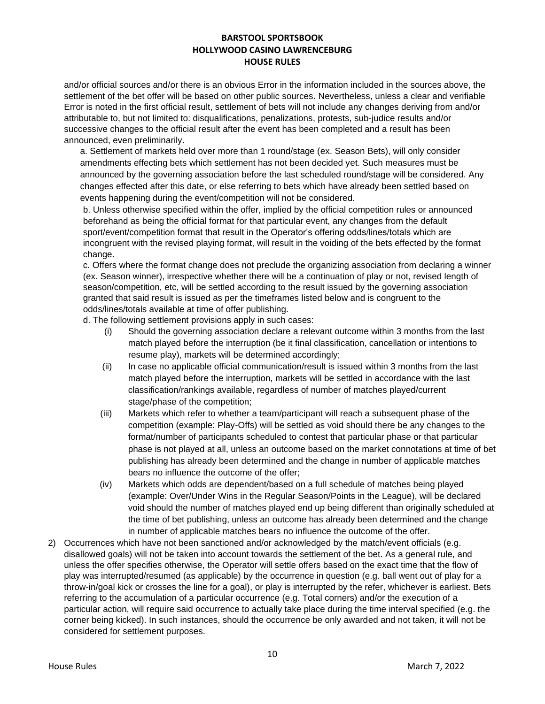and/or official sources and/or there is an obvious Error in the information included in the sources above, the settlement of the bet offer will be based on other public sources. Nevertheless, unless a clear and verifiable Error is noted in the first official result, settlement of bets will not include any changes deriving from and/or attributable to, but not limited to: disqualifications, penalizations, protests, sub-judice results and/or successive changes to the official result after the event has been completed and a result has been announced, even preliminarily.

a. Settlement of markets held over more than 1 round/stage (ex. Season Bets), will only consider amendments effecting bets which settlement has not been decided yet. Such measures must be announced by the governing association before the last scheduled round/stage will be considered. Any changes effected after this date, or else referring to bets which have already been settled based on events happening during the event/competition will not be considered.

b. Unless otherwise specified within the offer, implied by the official competition rules or announced beforehand as being the official format for that particular event, any changes from the default sport/event/competition format that result in the Operator's offering odds/lines/totals which are incongruent with the revised playing format, will result in the voiding of the bets effected by the format change.

c. Offers where the format change does not preclude the organizing association from declaring a winner (ex. Season winner), irrespective whether there will be a continuation of play or not, revised length of season/competition, etc, will be settled according to the result issued by the governing association granted that said result is issued as per the timeframes listed below and is congruent to the odds/lines/totals available at time of offer publishing.

d. The following settlement provisions apply in such cases:

- (i) Should the governing association declare a relevant outcome within 3 months from the last match played before the interruption (be it final classification, cancellation or intentions to resume play), markets will be determined accordingly;
- (ii) In case no applicable official communication/result is issued within 3 months from the last match played before the interruption, markets will be settled in accordance with the last classification/rankings available, regardless of number of matches played/current stage/phase of the competition;
- (iii) Markets which refer to whether a team/participant will reach a subsequent phase of the competition (example: Play-Offs) will be settled as void should there be any changes to the format/number of participants scheduled to contest that particular phase or that particular phase is not played at all, unless an outcome based on the market connotations at time of bet publishing has already been determined and the change in number of applicable matches bears no influence the outcome of the offer;
- (iv) Markets which odds are dependent/based on a full schedule of matches being played (example: Over/Under Wins in the Regular Season/Points in the League), will be declared void should the number of matches played end up being different than originally scheduled at the time of bet publishing, unless an outcome has already been determined and the change in number of applicable matches bears no influence the outcome of the offer.
- 2) Occurrences which have not been sanctioned and/or acknowledged by the match/event officials (e.g. disallowed goals) will not be taken into account towards the settlement of the bet. As a general rule, and unless the offer specifies otherwise, the Operator will settle offers based on the exact time that the flow of play was interrupted/resumed (as applicable) by the occurrence in question (e.g. ball went out of play for a throw-in/goal kick or crosses the line for a goal), or play is interrupted by the refer, whichever is earliest. Bets referring to the accumulation of a particular occurrence (e.g. Total corners) and/or the execution of a particular action, will require said occurrence to actually take place during the time interval specified (e.g. the corner being kicked). In such instances, should the occurrence be only awarded and not taken, it will not be considered for settlement purposes.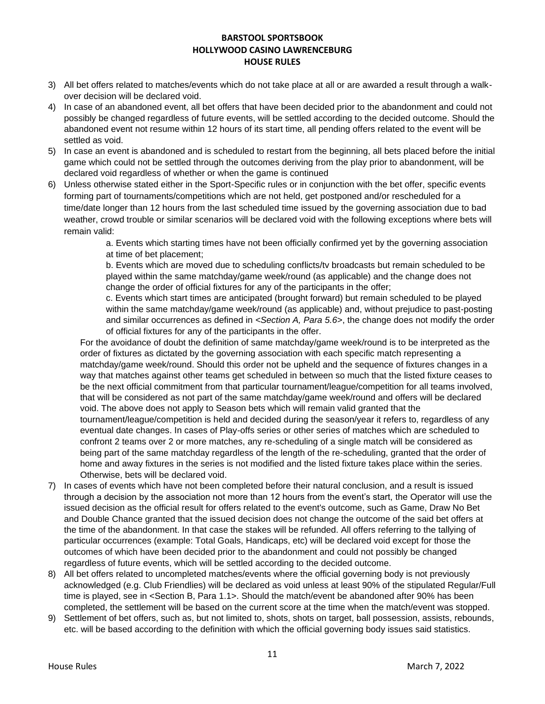- 3) All bet offers related to matches/events which do not take place at all or are awarded a result through a walkover decision will be declared void.
- 4) In case of an abandoned event, all bet offers that have been decided prior to the abandonment and could not possibly be changed regardless of future events, will be settled according to the decided outcome. Should the abandoned event not resume within 12 hours of its start time, all pending offers related to the event will be settled as void.
- 5) In case an event is abandoned and is scheduled to restart from the beginning, all bets placed before the initial game which could not be settled through the outcomes deriving from the play prior to abandonment, will be declared void regardless of whether or when the game is continued
- 6) Unless otherwise stated either in the Sport-Specific rules or in conjunction with the bet offer, specific events forming part of tournaments/competitions which are not held, get postponed and/or rescheduled for a time/date longer than 12 hours from the last scheduled time issued by the governing association due to bad weather, crowd trouble or similar scenarios will be declared void with the following exceptions where bets will remain valid:

a. Events which starting times have not been officially confirmed yet by the governing association at time of bet placement;

b. Events which are moved due to scheduling conflicts/tv broadcasts but remain scheduled to be played within the same matchday/game week/round (as applicable) and the change does not change the order of official fixtures for any of the participants in the offer;

c. Events which start times are anticipated (brought forward) but remain scheduled to be played within the same matchday/game week/round (as applicable) and, without prejudice to past-posting and similar occurrences as defined in *<Section A, Para 5.6>*, the change does not modify the order of official fixtures for any of the participants in the offer.

For the avoidance of doubt the definition of same matchday/game week/round is to be interpreted as the order of fixtures as dictated by the governing association with each specific match representing a matchday/game week/round. Should this order not be upheld and the sequence of fixtures changes in a way that matches against other teams get scheduled in between so much that the listed fixture ceases to be the next official commitment from that particular tournament/league/competition for all teams involved, that will be considered as not part of the same matchday/game week/round and offers will be declared void. The above does not apply to Season bets which will remain valid granted that the tournament/league/competition is held and decided during the season/year it refers to, regardless of any eventual date changes. In cases of Play-offs series or other series of matches which are scheduled to confront 2 teams over 2 or more matches, any re-scheduling of a single match will be considered as being part of the same matchday regardless of the length of the re-scheduling, granted that the order of home and away fixtures in the series is not modified and the listed fixture takes place within the series. Otherwise, bets will be declared void.

- 7) In cases of events which have not been completed before their natural conclusion, and a result is issued through a decision by the association not more than 12 hours from the event's start, the Operator will use the issued decision as the official result for offers related to the event's outcome, such as Game, Draw No Bet and Double Chance granted that the issued decision does not change the outcome of the said bet offers at the time of the abandonment. In that case the stakes will be refunded. All offers referring to the tallying of particular occurrences (example: Total Goals, Handicaps, etc) will be declared void except for those the outcomes of which have been decided prior to the abandonment and could not possibly be changed regardless of future events, which will be settled according to the decided outcome.
- 8) All bet offers related to uncompleted matches/events where the official governing body is not previously acknowledged (e.g. Club Friendlies) will be declared as void unless at least 90% of the stipulated Regular/Full time is played, see in <Section B, Para 1.1>. Should the match/event be abandoned after 90% has been completed, the settlement will be based on the current score at the time when the match/event was stopped.
- 9) Settlement of bet offers, such as, but not limited to, shots, shots on target, ball possession, assists, rebounds, etc. will be based according to the definition with which the official governing body issues said statistics.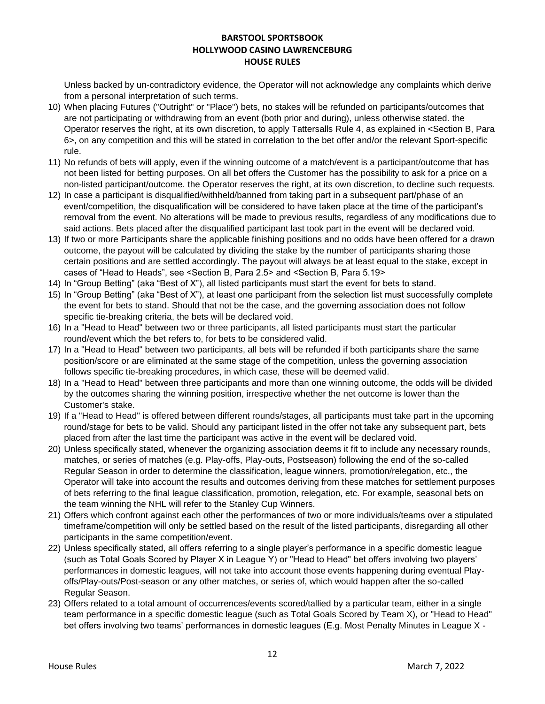Unless backed by un-contradictory evidence, the Operator will not acknowledge any complaints which derive from a personal interpretation of such terms.

- 10) When placing Futures ("Outright" or "Place") bets, no stakes will be refunded on participants/outcomes that are not participating or withdrawing from an event (both prior and during), unless otherwise stated. the Operator reserves the right, at its own discretion, to apply Tattersalls Rule 4, as explained in <Section B, Para 6>, on any competition and this will be stated in correlation to the bet offer and/or the relevant Sport-specific rule.
- 11) No refunds of bets will apply, even if the winning outcome of a match/event is a participant/outcome that has not been listed for betting purposes. On all bet offers the Customer has the possibility to ask for a price on a non-listed participant/outcome. the Operator reserves the right, at its own discretion, to decline such requests.
- 12) In case a participant is disqualified/withheld/banned from taking part in a subsequent part/phase of an event/competition, the disqualification will be considered to have taken place at the time of the participant's removal from the event. No alterations will be made to previous results, regardless of any modifications due to said actions. Bets placed after the disqualified participant last took part in the event will be declared void.
- 13) If two or more Participants share the applicable finishing positions and no odds have been offered for a drawn outcome, the payout will be calculated by dividing the stake by the number of participants sharing those certain positions and are settled accordingly. The payout will always be at least equal to the stake, except in cases of "Head to Heads", see <Section B, Para 2.5> and <Section B, Para 5.19>
- 14) In "Group Betting" (aka "Best of X"), all listed participants must start the event for bets to stand.
- 15) In "Group Betting" (aka "Best of X"), at least one participant from the selection list must successfully complete the event for bets to stand. Should that not be the case, and the governing association does not follow specific tie-breaking criteria, the bets will be declared void.
- 16) In a "Head to Head" between two or three participants, all listed participants must start the particular round/event which the bet refers to, for bets to be considered valid.
- 17) In a "Head to Head" between two participants, all bets will be refunded if both participants share the same position/score or are eliminated at the same stage of the competition, unless the governing association follows specific tie-breaking procedures, in which case, these will be deemed valid.
- 18) In a "Head to Head" between three participants and more than one winning outcome, the odds will be divided by the outcomes sharing the winning position, irrespective whether the net outcome is lower than the Customer's stake.
- 19) If a "Head to Head" is offered between different rounds/stages, all participants must take part in the upcoming round/stage for bets to be valid. Should any participant listed in the offer not take any subsequent part, bets placed from after the last time the participant was active in the event will be declared void.
- 20) Unless specifically stated, whenever the organizing association deems it fit to include any necessary rounds, matches, or series of matches (e.g. Play-offs, Play-outs, Postseason) following the end of the so-called Regular Season in order to determine the classification, league winners, promotion/relegation, etc., the Operator will take into account the results and outcomes deriving from these matches for settlement purposes of bets referring to the final league classification, promotion, relegation, etc. For example, seasonal bets on the team winning the NHL will refer to the Stanley Cup Winners.
- 21) Offers which confront against each other the performances of two or more individuals/teams over a stipulated timeframe/competition will only be settled based on the result of the listed participants, disregarding all other participants in the same competition/event.
- 22) Unless specifically stated, all offers referring to a single player's performance in a specific domestic league (such as Total Goals Scored by Player X in League Y) or "Head to Head" bet offers involving two players' performances in domestic leagues, will not take into account those events happening during eventual Playoffs/Play-outs/Post-season or any other matches, or series of, which would happen after the so-called Regular Season.
- 23) Offers related to a total amount of occurrences/events scored/tallied by a particular team, either in a single team performance in a specific domestic league (such as Total Goals Scored by Team X), or "Head to Head" bet offers involving two teams' performances in domestic leagues (E.g. Most Penalty Minutes in League X -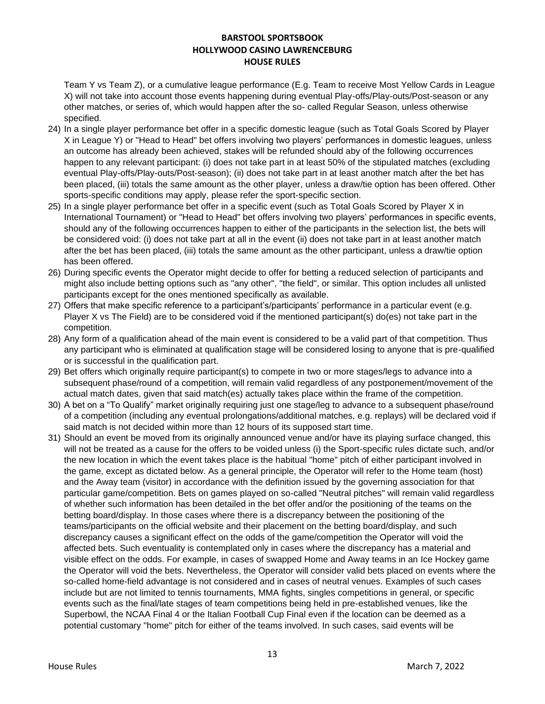Team Y vs Team Z), or a cumulative league performance (E.g. Team to receive Most Yellow Cards in League X) will not take into account those events happening during eventual Play-offs/Play-outs/Post-season or any other matches, or series of, which would happen after the so- called Regular Season, unless otherwise specified.

- 24) In a single player performance bet offer in a specific domestic league (such as Total Goals Scored by Player X in League Y) or "Head to Head" bet offers involving two players' performances in domestic leagues, unless an outcome has already been achieved, stakes will be refunded should aby of the following occurrences happen to any relevant participant: (i) does not take part in at least 50% of the stipulated matches (excluding eventual Play-offs/Play-outs/Post-season); (ii) does not take part in at least another match after the bet has been placed, (iii) totals the same amount as the other player, unless a draw/tie option has been offered. Other sports-specific conditions may apply, please refer the sport-specific section.
- 25) In a single player performance bet offer in a specific event (such as Total Goals Scored by Player X in International Tournament) or "Head to Head" bet offers involving two players' performances in specific events, should any of the following occurrences happen to either of the participants in the selection list, the bets will be considered void: (i) does not take part at all in the event (ii) does not take part in at least another match after the bet has been placed, (iii) totals the same amount as the other participant, unless a draw/tie option has been offered.
- 26) During specific events the Operator might decide to offer for betting a reduced selection of participants and might also include betting options such as "any other", "the field", or similar. This option includes all unlisted participants except for the ones mentioned specifically as available.
- 27) Offers that make specific reference to a participant's/participants' performance in a particular event (e.g. Player X vs The Field) are to be considered void if the mentioned participant(s) do(es) not take part in the competition.
- 28) Any form of a qualification ahead of the main event is considered to be a valid part of that competition. Thus any participant who is eliminated at qualification stage will be considered losing to anyone that is pre-qualified or is successful in the qualification part.
- 29) Bet offers which originally require participant(s) to compete in two or more stages/legs to advance into a subsequent phase/round of a competition, will remain valid regardless of any postponement/movement of the actual match dates, given that said match(es) actually takes place within the frame of the competition.
- 30) A bet on a "To Qualify" market originally requiring just one stage/leg to advance to a subsequent phase/round of a competition (including any eventual prolongations/additional matches, e.g. replays) will be declared void if said match is not decided within more than 12 hours of its supposed start time.
- 31) Should an event be moved from its originally announced venue and/or have its playing surface changed, this will not be treated as a cause for the offers to be voided unless (i) the Sport-specific rules dictate such, and/or the new location in which the event takes place is the habitual "home" pitch of either participant involved in the game, except as dictated below. As a general principle, the Operator will refer to the Home team (host) and the Away team (visitor) in accordance with the definition issued by the governing association for that particular game/competition. Bets on games played on so-called "Neutral pitches" will remain valid regardless of whether such information has been detailed in the bet offer and/or the positioning of the teams on the betting board/display. In those cases where there is a discrepancy between the positioning of the teams/participants on the official website and their placement on the betting board/display, and such discrepancy causes a significant effect on the odds of the game/competition the Operator will void the affected bets. Such eventuality is contemplated only in cases where the discrepancy has a material and visible effect on the odds. For example, in cases of swapped Home and Away teams in an Ice Hockey game the Operator will void the bets. Nevertheless, the Operator will consider valid bets placed on events where the so-called home-field advantage is not considered and in cases of neutral venues. Examples of such cases include but are not limited to tennis tournaments, MMA fights, singles competitions in general, or specific events such as the final/late stages of team competitions being held in pre-established venues, like the Superbowl, the NCAA Final 4 or the Italian Football Cup Final even if the location can be deemed as a potential customary "home" pitch for either of the teams involved. In such cases, said events will be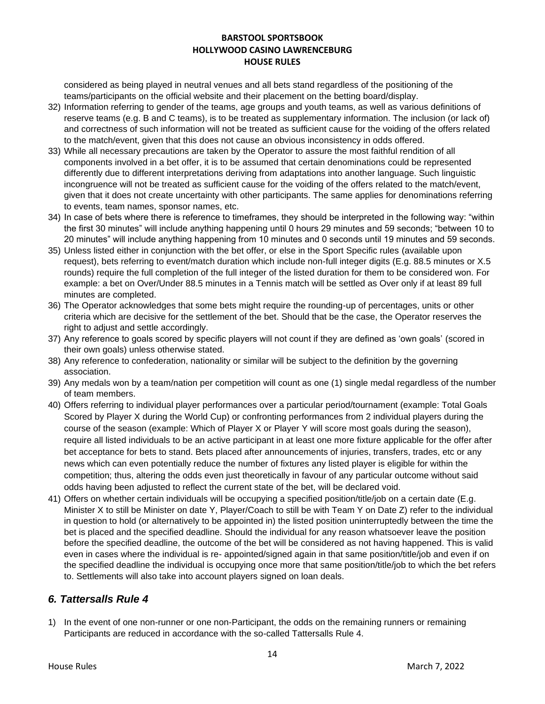considered as being played in neutral venues and all bets stand regardless of the positioning of the teams/participants on the official website and their placement on the betting board/display.

- 32) Information referring to gender of the teams, age groups and youth teams, as well as various definitions of reserve teams (e.g. B and C teams), is to be treated as supplementary information. The inclusion (or lack of) and correctness of such information will not be treated as sufficient cause for the voiding of the offers related to the match/event, given that this does not cause an obvious inconsistency in odds offered.
- 33) While all necessary precautions are taken by the Operator to assure the most faithful rendition of all components involved in a bet offer, it is to be assumed that certain denominations could be represented differently due to different interpretations deriving from adaptations into another language. Such linguistic incongruence will not be treated as sufficient cause for the voiding of the offers related to the match/event, given that it does not create uncertainty with other participants. The same applies for denominations referring to events, team names, sponsor names, etc.
- 34) In case of bets where there is reference to timeframes, they should be interpreted in the following way: "within the first 30 minutes" will include anything happening until 0 hours 29 minutes and 59 seconds; "between 10 to 20 minutes" will include anything happening from 10 minutes and 0 seconds until 19 minutes and 59 seconds.
- 35) Unless listed either in conjunction with the bet offer, or else in the Sport Specific rules (available upon request), bets referring to event/match duration which include non-full integer digits (E.g. 88.5 minutes or X.5 rounds) require the full completion of the full integer of the listed duration for them to be considered won. For example: a bet on Over/Under 88.5 minutes in a Tennis match will be settled as Over only if at least 89 full minutes are completed.
- 36) The Operator acknowledges that some bets might require the rounding-up of percentages, units or other criteria which are decisive for the settlement of the bet. Should that be the case, the Operator reserves the right to adjust and settle accordingly.
- 37) Any reference to goals scored by specific players will not count if they are defined as 'own goals' (scored in their own goals) unless otherwise stated.
- 38) Any reference to confederation, nationality or similar will be subject to the definition by the governing association.
- 39) Any medals won by a team/nation per competition will count as one (1) single medal regardless of the number of team members.
- 40) Offers referring to individual player performances over a particular period/tournament (example: Total Goals Scored by Player X during the World Cup) or confronting performances from 2 individual players during the course of the season (example: Which of Player X or Player Y will score most goals during the season), require all listed individuals to be an active participant in at least one more fixture applicable for the offer after bet acceptance for bets to stand. Bets placed after announcements of injuries, transfers, trades, etc or any news which can even potentially reduce the number of fixtures any listed player is eligible for within the competition; thus, altering the odds even just theoretically in favour of any particular outcome without said odds having been adjusted to reflect the current state of the bet, will be declared void.
- 41) Offers on whether certain individuals will be occupying a specified position/title/job on a certain date (E.g. Minister X to still be Minister on date Y, Player/Coach to still be with Team Y on Date Z) refer to the individual in question to hold (or alternatively to be appointed in) the listed position uninterruptedly between the time the bet is placed and the specified deadline. Should the individual for any reason whatsoever leave the position before the specified deadline, the outcome of the bet will be considered as not having happened. This is valid even in cases where the individual is re- appointed/signed again in that same position/title/job and even if on the specified deadline the individual is occupying once more that same position/title/job to which the bet refers to. Settlements will also take into account players signed on loan deals.

### *6. Tattersalls Rule 4*

1) In the event of one non-runner or one non-Participant, the odds on the remaining runners or remaining Participants are reduced in accordance with the so-called Tattersalls Rule 4.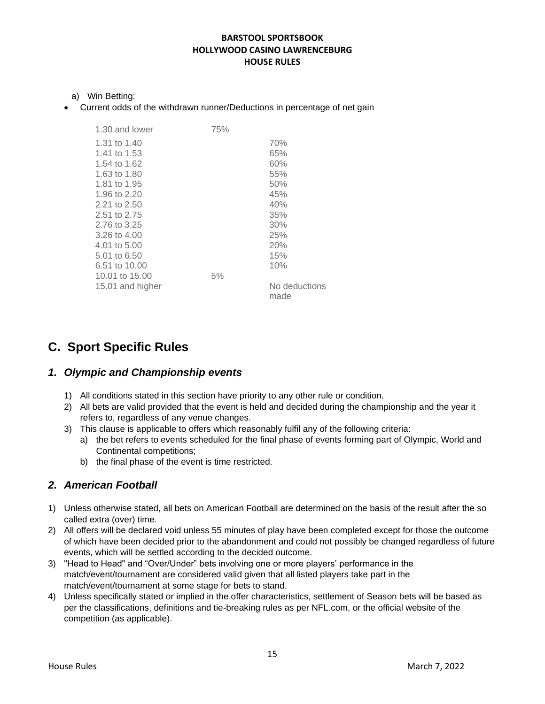- a) Win Betting:
- Current odds of the withdrawn runner/Deductions in percentage of net gain

| 1.30 and lower   | 75% |                       |
|------------------|-----|-----------------------|
| 1.31 to 1.40     |     | 70%                   |
| 1.41 to 1.53     |     | 65%                   |
| 1.54 to 1.62     |     | 60%                   |
| 1.63 to 1.80     |     | 55%                   |
| 1.81 to 1.95     |     | 50%                   |
| 1.96 to 2.20     |     | 45%                   |
| 2.21 to 2.50     |     | 40%                   |
| 2.51 to 2.75     |     | 35%                   |
| 2.76 to 3.25     |     | 30%                   |
| 3.26 to 4.00     |     | 25%                   |
| 4.01 to 5.00     |     | 20%                   |
| 5.01 to 6.50     |     | 15%                   |
| 6.51 to 10.00    |     | 10%                   |
| 10.01 to 15.00   | 5%  |                       |
| 15.01 and higher |     | No deductions<br>made |
|                  |     |                       |

# **C. Sport Specific Rules**

### *1. Olympic and Championship events*

- 1) All conditions stated in this section have priority to any other rule or condition.
- 2) All bets are valid provided that the event is held and decided during the championship and the year it refers to, regardless of any venue changes.
- 3) This clause is applicable to offers which reasonably fulfil any of the following criteria:
	- a) the bet refers to events scheduled for the final phase of events forming part of Olympic, World and Continental competitions;
	- b) the final phase of the event is time restricted.

### *2. American Football*

- 1) Unless otherwise stated, all bets on American Football are determined on the basis of the result after the so called extra (over) time.
- 2) All offers will be declared void unless 55 minutes of play have been completed except for those the outcome of which have been decided prior to the abandonment and could not possibly be changed regardless of future events, which will be settled according to the decided outcome.
- 3) "Head to Head" and "Over/Under" bets involving one or more players' performance in the match/event/tournament are considered valid given that all listed players take part in the match/event/tournament at some stage for bets to stand.
- 4) Unless specifically stated or implied in the offer characteristics, settlement of Season bets will be based as per the classifications, definitions and tie-breaking rules as per NFL.com, or the official website of the competition (as applicable).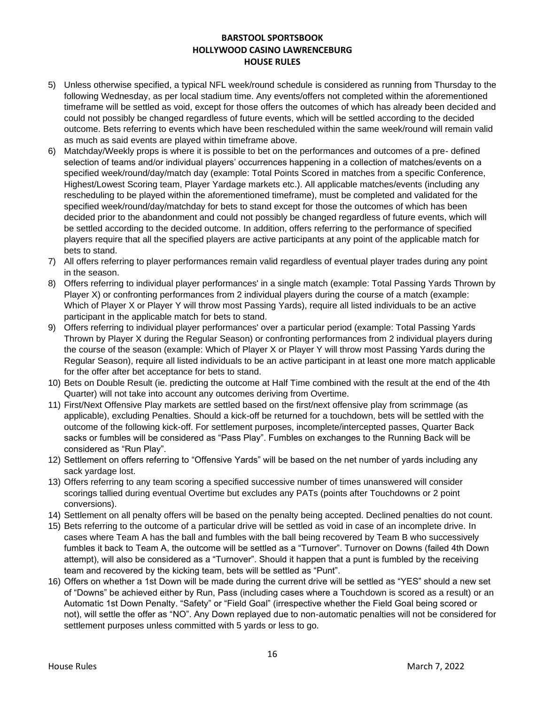- 5) Unless otherwise specified, a typical NFL week/round schedule is considered as running from Thursday to the following Wednesday, as per local stadium time. Any events/offers not completed within the aforementioned timeframe will be settled as void, except for those offers the outcomes of which has already been decided and could not possibly be changed regardless of future events, which will be settled according to the decided outcome. Bets referring to events which have been rescheduled within the same week/round will remain valid as much as said events are played within timeframe above.
- 6) Matchday/Weekly props is where it is possible to bet on the performances and outcomes of a pre- defined selection of teams and/or individual players' occurrences happening in a collection of matches/events on a specified week/round/day/match day (example: Total Points Scored in matches from a specific Conference, Highest/Lowest Scoring team, Player Yardage markets etc.). All applicable matches/events (including any rescheduling to be played within the aforementioned timeframe), must be completed and validated for the specified week/round/day/matchday for bets to stand except for those the outcomes of which has been decided prior to the abandonment and could not possibly be changed regardless of future events, which will be settled according to the decided outcome. In addition, offers referring to the performance of specified players require that all the specified players are active participants at any point of the applicable match for bets to stand.
- 7) All offers referring to player performances remain valid regardless of eventual player trades during any point in the season.
- 8) Offers referring to individual player performances' in a single match (example: Total Passing Yards Thrown by Player X) or confronting performances from 2 individual players during the course of a match (example: Which of Player X or Player Y will throw most Passing Yards), require all listed individuals to be an active participant in the applicable match for bets to stand.
- 9) Offers referring to individual player performances' over a particular period (example: Total Passing Yards Thrown by Player X during the Regular Season) or confronting performances from 2 individual players during the course of the season (example: Which of Player X or Player Y will throw most Passing Yards during the Regular Season), require all listed individuals to be an active participant in at least one more match applicable for the offer after bet acceptance for bets to stand.
- 10) Bets on Double Result (ie. predicting the outcome at Half Time combined with the result at the end of the 4th Quarter) will not take into account any outcomes deriving from Overtime.
- 11) First/Next Offensive Play markets are settled based on the first/next offensive play from scrimmage (as applicable), excluding Penalties. Should a kick-off be returned for a touchdown, bets will be settled with the outcome of the following kick-off. For settlement purposes, incomplete/intercepted passes, Quarter Back sacks or fumbles will be considered as "Pass Play". Fumbles on exchanges to the Running Back will be considered as "Run Play".
- 12) Settlement on offers referring to "Offensive Yards" will be based on the net number of yards including any sack yardage lost.
- 13) Offers referring to any team scoring a specified successive number of times unanswered will consider scorings tallied during eventual Overtime but excludes any PATs (points after Touchdowns or 2 point conversions).
- 14) Settlement on all penalty offers will be based on the penalty being accepted. Declined penalties do not count.
- 15) Bets referring to the outcome of a particular drive will be settled as void in case of an incomplete drive. In cases where Team A has the ball and fumbles with the ball being recovered by Team B who successively fumbles it back to Team A, the outcome will be settled as a "Turnover". Turnover on Downs (failed 4th Down attempt), will also be considered as a "Turnover". Should it happen that a punt is fumbled by the receiving team and recovered by the kicking team, bets will be settled as "Punt".
- 16) Offers on whether a 1st Down will be made during the current drive will be settled as "YES" should a new set of "Downs" be achieved either by Run, Pass (including cases where a Touchdown is scored as a result) or an Automatic 1st Down Penalty. "Safety" or "Field Goal" (irrespective whether the Field Goal being scored or not), will settle the offer as "NO". Any Down replayed due to non-automatic penalties will not be considered for settlement purposes unless committed with 5 yards or less to go.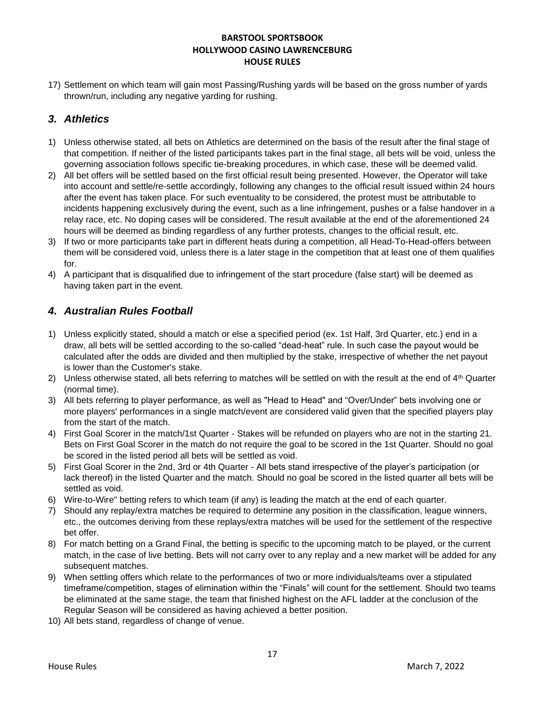17) Settlement on which team will gain most Passing/Rushing yards will be based on the gross number of yards thrown/run, including any negative yarding for rushing.

### *3. Athletics*

- 1) Unless otherwise stated, all bets on Athletics are determined on the basis of the result after the final stage of that competition. If neither of the listed participants takes part in the final stage, all bets will be void, unless the governing association follows specific tie-breaking procedures, in which case, these will be deemed valid.
- 2) All bet offers will be settled based on the first official result being presented. However, the Operator will take into account and settle/re-settle accordingly, following any changes to the official result issued within 24 hours after the event has taken place. For such eventuality to be considered, the protest must be attributable to incidents happening exclusively during the event, such as a line infringement, pushes or a false handover in a relay race, etc. No doping cases will be considered. The result available at the end of the aforementioned 24 hours will be deemed as binding regardless of any further protests, changes to the official result, etc.
- 3) If two or more participants take part in different heats during a competition, all Head-To-Head-offers between them will be considered void, unless there is a later stage in the competition that at least one of them qualifies for.
- 4) A participant that is disqualified due to infringement of the start procedure (false start) will be deemed as having taken part in the event.

## *4. Australian Rules Football*

- 1) Unless explicitly stated, should a match or else a specified period (ex. 1st Half, 3rd Quarter, etc.) end in a draw, all bets will be settled according to the so-called "dead-heat" rule. In such case the payout would be calculated after the odds are divided and then multiplied by the stake, irrespective of whether the net payout is lower than the Customer's stake.
- 2) Unless otherwise stated, all bets referring to matches will be settled on with the result at the end of  $4<sup>th</sup>$  Quarter (normal time).
- 3) All bets referring to player performance, as well as "Head to Head" and "Over/Under" bets involving one or more players' performances in a single match/event are considered valid given that the specified players play from the start of the match.
- 4) First Goal Scorer in the match/1st Quarter Stakes will be refunded on players who are not in the starting 21. Bets on First Goal Scorer in the match do not require the goal to be scored in the 1st Quarter. Should no goal be scored in the listed period all bets will be settled as void.
- 5) First Goal Scorer in the 2nd, 3rd or 4th Quarter All bets stand irrespective of the player's participation (or lack thereof) in the listed Quarter and the match. Should no goal be scored in the listed quarter all bets will be settled as void.
- 6) Wire-to-Wire" betting refers to which team (if any) is leading the match at the end of each quarter.
- 7) Should any replay/extra matches be required to determine any position in the classification, league winners, etc., the outcomes deriving from these replays/extra matches will be used for the settlement of the respective bet offer.
- 8) For match betting on a Grand Final, the betting is specific to the upcoming match to be played, or the current match, in the case of live betting. Bets will not carry over to any replay and a new market will be added for any subsequent matches.
- 9) When settling offers which relate to the performances of two or more individuals/teams over a stipulated timeframe/competition, stages of elimination within the "Finals" will count for the settlement. Should two teams be eliminated at the same stage, the team that finished highest on the AFL ladder at the conclusion of the Regular Season will be considered as having achieved a better position.
- 10) All bets stand, regardless of change of venue.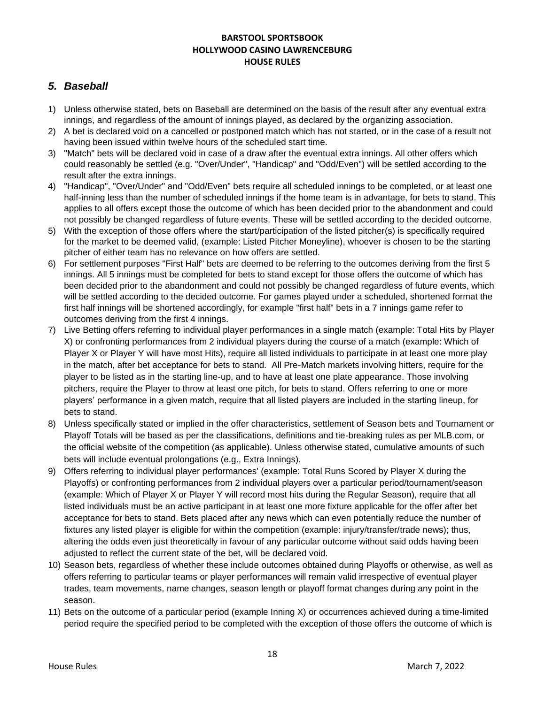### *5. Baseball*

- 1) Unless otherwise stated, bets on Baseball are determined on the basis of the result after any eventual extra innings, and regardless of the amount of innings played, as declared by the organizing association.
- 2) A bet is declared void on a cancelled or postponed match which has not started, or in the case of a result not having been issued within twelve hours of the scheduled start time.
- 3) "Match" bets will be declared void in case of a draw after the eventual extra innings. All other offers which could reasonably be settled (e.g. "Over/Under", "Handicap" and "Odd/Even") will be settled according to the result after the extra innings.
- 4) "Handicap", "Over/Under" and "Odd/Even" bets require all scheduled innings to be completed, or at least one half-inning less than the number of scheduled innings if the home team is in advantage, for bets to stand. This applies to all offers except those the outcome of which has been decided prior to the abandonment and could not possibly be changed regardless of future events. These will be settled according to the decided outcome.
- 5) With the exception of those offers where the start/participation of the listed pitcher(s) is specifically required for the market to be deemed valid, (example: Listed Pitcher Moneyline), whoever is chosen to be the starting pitcher of either team has no relevance on how offers are settled.
- 6) For settlement purposes "First Half" bets are deemed to be referring to the outcomes deriving from the first 5 innings. All 5 innings must be completed for bets to stand except for those offers the outcome of which has been decided prior to the abandonment and could not possibly be changed regardless of future events, which will be settled according to the decided outcome. For games played under a scheduled, shortened format the first half innings will be shortened accordingly, for example "first half" bets in a 7 innings game refer to outcomes deriving from the first 4 innings.
- 7) Live Betting offers referring to individual player performances in a single match (example: Total Hits by Player X) or confronting performances from 2 individual players during the course of a match (example: Which of Player X or Player Y will have most Hits), require all listed individuals to participate in at least one more play in the match, after bet acceptance for bets to stand. All Pre-Match markets involving hitters, require for the player to be listed as in the starting line-up, and to have at least one plate appearance. Those involving pitchers, require the Player to throw at least one pitch, for bets to stand. Offers referring to one or more players' performance in a given match, require that all listed players are included in the starting lineup, for bets to stand.
- 8) Unless specifically stated or implied in the offer characteristics, settlement of Season bets and Tournament or Playoff Totals will be based as per the classifications, definitions and tie-breaking rules as per MLB.com, or the official website of the competition (as applicable). Unless otherwise stated, cumulative amounts of such bets will include eventual prolongations (e.g., Extra Innings).
- 9) Offers referring to individual player performances' (example: Total Runs Scored by Player X during the Playoffs) or confronting performances from 2 individual players over a particular period/tournament/season (example: Which of Player X or Player Y will record most hits during the Regular Season), require that all listed individuals must be an active participant in at least one more fixture applicable for the offer after bet acceptance for bets to stand. Bets placed after any news which can even potentially reduce the number of fixtures any listed player is eligible for within the competition (example: injury/transfer/trade news); thus, altering the odds even just theoretically in favour of any particular outcome without said odds having been adjusted to reflect the current state of the bet, will be declared void.
- 10) Season bets, regardless of whether these include outcomes obtained during Playoffs or otherwise, as well as offers referring to particular teams or player performances will remain valid irrespective of eventual player trades, team movements, name changes, season length or playoff format changes during any point in the season.
- 11) Bets on the outcome of a particular period (example Inning X) or occurrences achieved during a time-limited period require the specified period to be completed with the exception of those offers the outcome of which is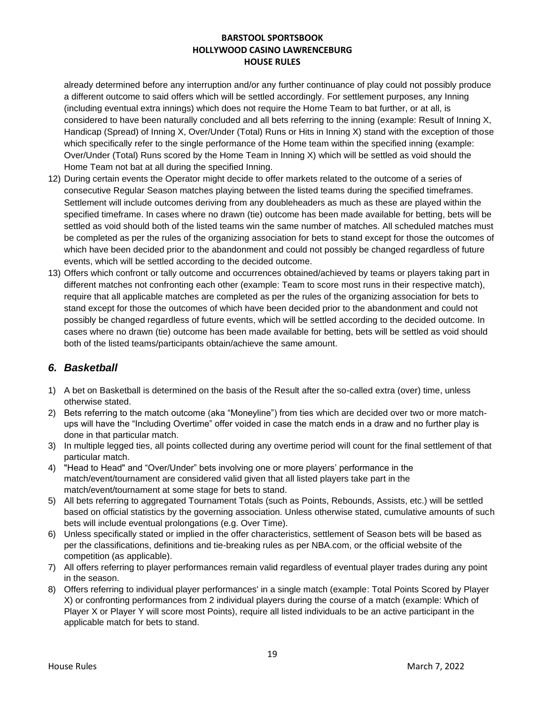already determined before any interruption and/or any further continuance of play could not possibly produce a different outcome to said offers which will be settled accordingly. For settlement purposes, any Inning (including eventual extra innings) which does not require the Home Team to bat further, or at all, is considered to have been naturally concluded and all bets referring to the inning (example: Result of Inning X, Handicap (Spread) of Inning X, Over/Under (Total) Runs or Hits in Inning X) stand with the exception of those which specifically refer to the single performance of the Home team within the specified inning (example: Over/Under (Total) Runs scored by the Home Team in Inning X) which will be settled as void should the Home Team not bat at all during the specified Inning.

- 12) During certain events the Operator might decide to offer markets related to the outcome of a series of consecutive Regular Season matches playing between the listed teams during the specified timeframes. Settlement will include outcomes deriving from any doubleheaders as much as these are played within the specified timeframe. In cases where no drawn (tie) outcome has been made available for betting, bets will be settled as void should both of the listed teams win the same number of matches. All scheduled matches must be completed as per the rules of the organizing association for bets to stand except for those the outcomes of which have been decided prior to the abandonment and could not possibly be changed regardless of future events, which will be settled according to the decided outcome.
- 13) Offers which confront or tally outcome and occurrences obtained/achieved by teams or players taking part in different matches not confronting each other (example: Team to score most runs in their respective match), require that all applicable matches are completed as per the rules of the organizing association for bets to stand except for those the outcomes of which have been decided prior to the abandonment and could not possibly be changed regardless of future events, which will be settled according to the decided outcome. In cases where no drawn (tie) outcome has been made available for betting, bets will be settled as void should both of the listed teams/participants obtain/achieve the same amount.

# *6. Basketball*

- 1) A bet on Basketball is determined on the basis of the Result after the so-called extra (over) time, unless otherwise stated.
- 2) Bets referring to the match outcome (aka "Moneyline") from ties which are decided over two or more matchups will have the "Including Overtime" offer voided in case the match ends in a draw and no further play is done in that particular match.
- 3) In multiple legged ties, all points collected during any overtime period will count for the final settlement of that particular match.
- 4) "Head to Head" and "Over/Under" bets involving one or more players' performance in the match/event/tournament are considered valid given that all listed players take part in the match/event/tournament at some stage for bets to stand.
- 5) All bets referring to aggregated Tournament Totals (such as Points, Rebounds, Assists, etc.) will be settled based on official statistics by the governing association. Unless otherwise stated, cumulative amounts of such bets will include eventual prolongations (e.g. Over Time).
- 6) Unless specifically stated or implied in the offer characteristics, settlement of Season bets will be based as per the classifications, definitions and tie-breaking rules as per NBA.com, or the official website of the competition (as applicable).
- 7) All offers referring to player performances remain valid regardless of eventual player trades during any point in the season.
- 8) Offers referring to individual player performances' in a single match (example: Total Points Scored by Player X) or confronting performances from 2 individual players during the course of a match (example: Which of Player X or Player Y will score most Points), require all listed individuals to be an active participant in the applicable match for bets to stand.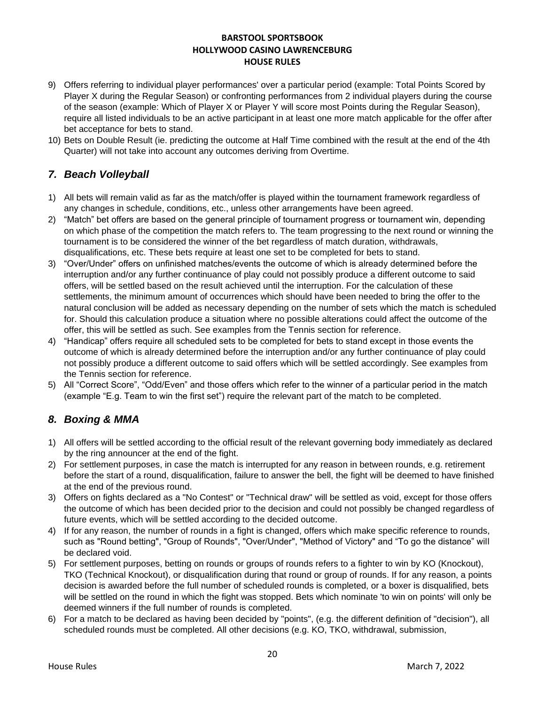- 9) Offers referring to individual player performances' over a particular period (example: Total Points Scored by Player X during the Regular Season) or confronting performances from 2 individual players during the course of the season (example: Which of Player X or Player Y will score most Points during the Regular Season), require all listed individuals to be an active participant in at least one more match applicable for the offer after bet acceptance for bets to stand.
- 10) Bets on Double Result (ie. predicting the outcome at Half Time combined with the result at the end of the 4th Quarter) will not take into account any outcomes deriving from Overtime.

# *7. Beach Volleyball*

- 1) All bets will remain valid as far as the match/offer is played within the tournament framework regardless of any changes in schedule, conditions, etc., unless other arrangements have been agreed.
- 2) "Match" bet offers are based on the general principle of tournament progress or tournament win, depending on which phase of the competition the match refers to. The team progressing to the next round or winning the tournament is to be considered the winner of the bet regardless of match duration, withdrawals, disqualifications, etc. These bets require at least one set to be completed for bets to stand.
- 3) "Over/Under" offers on unfinished matches/events the outcome of which is already determined before the interruption and/or any further continuance of play could not possibly produce a different outcome to said offers, will be settled based on the result achieved until the interruption. For the calculation of these settlements, the minimum amount of occurrences which should have been needed to bring the offer to the natural conclusion will be added as necessary depending on the number of sets which the match is scheduled for. Should this calculation produce a situation where no possible alterations could affect the outcome of the offer, this will be settled as such. See examples from the Tennis section for reference.
- 4) "Handicap" offers require all scheduled sets to be completed for bets to stand except in those events the outcome of which is already determined before the interruption and/or any further continuance of play could not possibly produce a different outcome to said offers which will be settled accordingly. See examples from the Tennis section for reference.
- 5) All "Correct Score", "Odd/Even" and those offers which refer to the winner of a particular period in the match (example "E.g. Team to win the first set") require the relevant part of the match to be completed.

# *8. Boxing & MMA*

- 1) All offers will be settled according to the official result of the relevant governing body immediately as declared by the ring announcer at the end of the fight.
- 2) For settlement purposes, in case the match is interrupted for any reason in between rounds, e.g. retirement before the start of a round, disqualification, failure to answer the bell, the fight will be deemed to have finished at the end of the previous round.
- 3) Offers on fights declared as a "No Contest" or "Technical draw" will be settled as void, except for those offers the outcome of which has been decided prior to the decision and could not possibly be changed regardless of future events, which will be settled according to the decided outcome.
- 4) If for any reason, the number of rounds in a fight is changed, offers which make specific reference to rounds, such as "Round betting", "Group of Rounds", "Over/Under", "Method of Victory" and "To go the distance" will be declared void.
- 5) For settlement purposes, betting on rounds or groups of rounds refers to a fighter to win by KO (Knockout), TKO (Technical Knockout), or disqualification during that round or group of rounds. If for any reason, a points decision is awarded before the full number of scheduled rounds is completed, or a boxer is disqualified, bets will be settled on the round in which the fight was stopped. Bets which nominate 'to win on points' will only be deemed winners if the full number of rounds is completed.
- 6) For a match to be declared as having been decided by "points", (e.g. the different definition of "decision"), all scheduled rounds must be completed. All other decisions (e.g. KO, TKO, withdrawal, submission,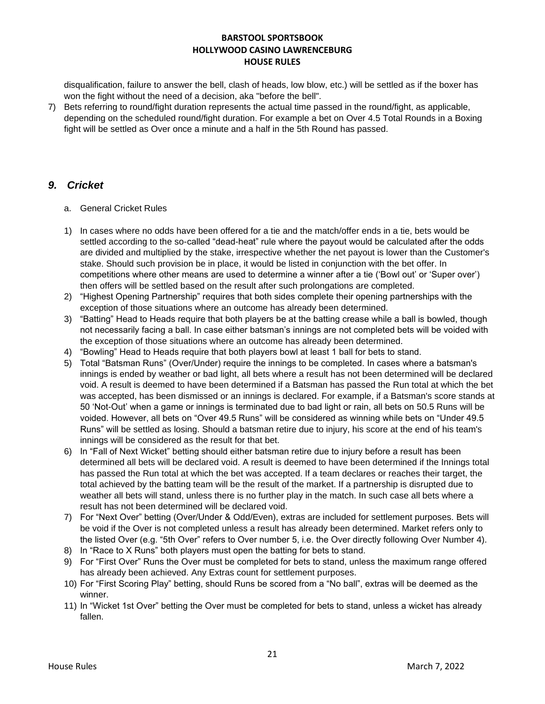disqualification, failure to answer the bell, clash of heads, low blow, etc.) will be settled as if the boxer has won the fight without the need of a decision, aka "before the bell".

7) Bets referring to round/fight duration represents the actual time passed in the round/fight, as applicable, depending on the scheduled round/fight duration. For example a bet on Over 4.5 Total Rounds in a Boxing fight will be settled as Over once a minute and a half in the 5th Round has passed.

### *9. Cricket*

- a. General Cricket Rules
- 1) In cases where no odds have been offered for a tie and the match/offer ends in a tie, bets would be settled according to the so-called "dead-heat" rule where the payout would be calculated after the odds are divided and multiplied by the stake, irrespective whether the net payout is lower than the Customer's stake. Should such provision be in place, it would be listed in conjunction with the bet offer. In competitions where other means are used to determine a winner after a tie ('Bowl out' or 'Super over') then offers will be settled based on the result after such prolongations are completed.
- 2) "Highest Opening Partnership" requires that both sides complete their opening partnerships with the exception of those situations where an outcome has already been determined.
- 3) "Batting" Head to Heads require that both players be at the batting crease while a ball is bowled, though not necessarily facing a ball. In case either batsman's innings are not completed bets will be voided with the exception of those situations where an outcome has already been determined.
- 4) "Bowling" Head to Heads require that both players bowl at least 1 ball for bets to stand.
- 5) Total "Batsman Runs" (Over/Under) require the innings to be completed. In cases where a batsman's innings is ended by weather or bad light, all bets where a result has not been determined will be declared void. A result is deemed to have been determined if a Batsman has passed the Run total at which the bet was accepted, has been dismissed or an innings is declared. For example, if a Batsman's score stands at 50 'Not-Out' when a game or innings is terminated due to bad light or rain, all bets on 50.5 Runs will be voided. However, all bets on "Over 49.5 Runs" will be considered as winning while bets on "Under 49.5 Runs" will be settled as losing. Should a batsman retire due to injury, his score at the end of his team's innings will be considered as the result for that bet.
- 6) In "Fall of Next Wicket" betting should either batsman retire due to injury before a result has been determined all bets will be declared void. A result is deemed to have been determined if the Innings total has passed the Run total at which the bet was accepted. If a team declares or reaches their target, the total achieved by the batting team will be the result of the market. If a partnership is disrupted due to weather all bets will stand, unless there is no further play in the match. In such case all bets where a result has not been determined will be declared void.
- 7) For "Next Over" betting (Over/Under & Odd/Even), extras are included for settlement purposes. Bets will be void if the Over is not completed unless a result has already been determined. Market refers only to the listed Over (e.g. "5th Over" refers to Over number 5, i.e. the Over directly following Over Number 4).
- 8) In "Race to X Runs" both players must open the batting for bets to stand.
- 9) For "First Over" Runs the Over must be completed for bets to stand, unless the maximum range offered has already been achieved. Any Extras count for settlement purposes.
- 10) For "First Scoring Play" betting, should Runs be scored from a "No ball", extras will be deemed as the winner.
- 11) In "Wicket 1st Over" betting the Over must be completed for bets to stand, unless a wicket has already fallen.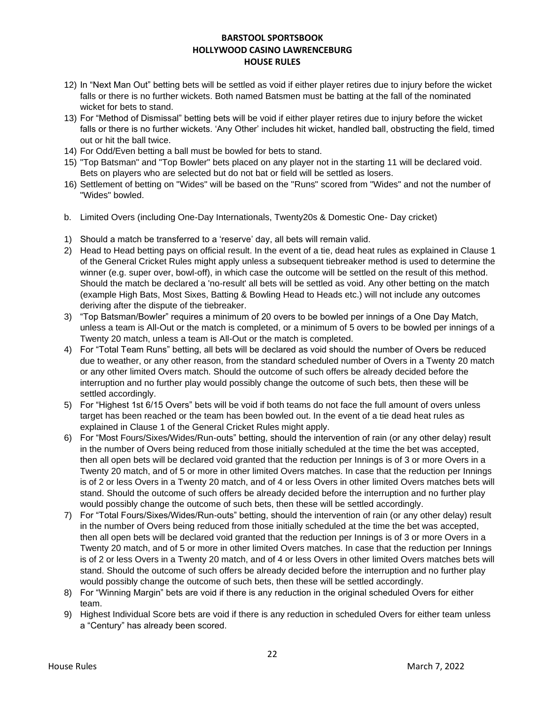- 12) In "Next Man Out" betting bets will be settled as void if either player retires due to injury before the wicket falls or there is no further wickets. Both named Batsmen must be batting at the fall of the nominated wicket for bets to stand.
- 13) For "Method of Dismissal" betting bets will be void if either player retires due to injury before the wicket falls or there is no further wickets. 'Any Other' includes hit wicket, handled ball, obstructing the field, timed out or hit the ball twice.
- 14) For Odd/Even betting a ball must be bowled for bets to stand.
- 15) "Top Batsman" and "Top Bowler" bets placed on any player not in the starting 11 will be declared void. Bets on players who are selected but do not bat or field will be settled as losers.
- 16) Settlement of betting on "Wides" will be based on the "Runs" scored from "Wides" and not the number of "Wides" bowled.
- b. Limited Overs (including One-Day Internationals, Twenty20s & Domestic One- Day cricket)
- 1) Should a match be transferred to a 'reserve' day, all bets will remain valid.
- 2) Head to Head betting pays on official result. In the event of a tie, dead heat rules as explained in Clause 1 of the General Cricket Rules might apply unless a subsequent tiebreaker method is used to determine the winner (e.g. super over, bowl-off), in which case the outcome will be settled on the result of this method. Should the match be declared a 'no-result' all bets will be settled as void. Any other betting on the match (example High Bats, Most Sixes, Batting & Bowling Head to Heads etc.) will not include any outcomes deriving after the dispute of the tiebreaker.
- 3) "Top Batsman/Bowler" requires a minimum of 20 overs to be bowled per innings of a One Day Match, unless a team is All-Out or the match is completed, or a minimum of 5 overs to be bowled per innings of a Twenty 20 match, unless a team is All-Out or the match is completed.
- 4) For "Total Team Runs" betting, all bets will be declared as void should the number of Overs be reduced due to weather, or any other reason, from the standard scheduled number of Overs in a Twenty 20 match or any other limited Overs match. Should the outcome of such offers be already decided before the interruption and no further play would possibly change the outcome of such bets, then these will be settled accordingly.
- 5) For "Highest 1st 6/15 Overs" bets will be void if both teams do not face the full amount of overs unless target has been reached or the team has been bowled out. In the event of a tie dead heat rules as explained in Clause 1 of the General Cricket Rules might apply.
- 6) For "Most Fours/Sixes/Wides/Run-outs" betting, should the intervention of rain (or any other delay) result in the number of Overs being reduced from those initially scheduled at the time the bet was accepted, then all open bets will be declared void granted that the reduction per Innings is of 3 or more Overs in a Twenty 20 match, and of 5 or more in other limited Overs matches. In case that the reduction per Innings is of 2 or less Overs in a Twenty 20 match, and of 4 or less Overs in other limited Overs matches bets will stand. Should the outcome of such offers be already decided before the interruption and no further play would possibly change the outcome of such bets, then these will be settled accordingly.
- 7) For "Total Fours/Sixes/Wides/Run-outs" betting, should the intervention of rain (or any other delay) result in the number of Overs being reduced from those initially scheduled at the time the bet was accepted, then all open bets will be declared void granted that the reduction per Innings is of 3 or more Overs in a Twenty 20 match, and of 5 or more in other limited Overs matches. In case that the reduction per Innings is of 2 or less Overs in a Twenty 20 match, and of 4 or less Overs in other limited Overs matches bets will stand. Should the outcome of such offers be already decided before the interruption and no further play would possibly change the outcome of such bets, then these will be settled accordingly.
- 8) For "Winning Margin" bets are void if there is any reduction in the original scheduled Overs for either team.
- 9) Highest Individual Score bets are void if there is any reduction in scheduled Overs for either team unless a "Century" has already been scored.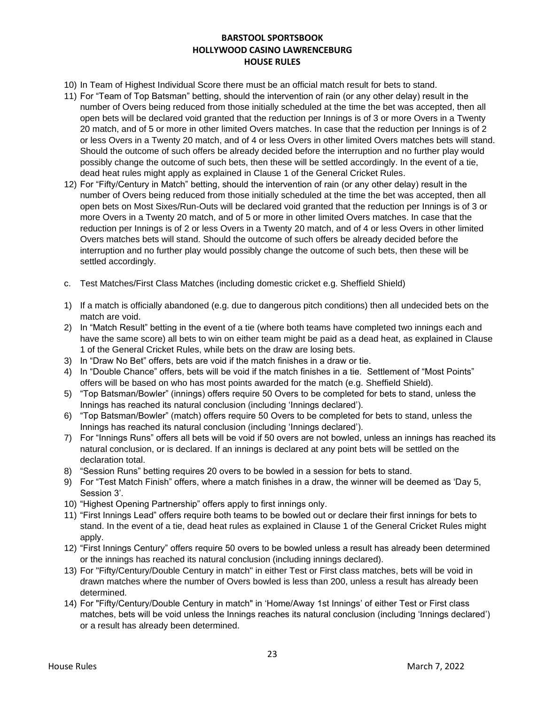- 10) In Team of Highest Individual Score there must be an official match result for bets to stand.
- 11) For "Team of Top Batsman" betting, should the intervention of rain (or any other delay) result in the number of Overs being reduced from those initially scheduled at the time the bet was accepted, then all open bets will be declared void granted that the reduction per Innings is of 3 or more Overs in a Twenty 20 match, and of 5 or more in other limited Overs matches. In case that the reduction per Innings is of 2 or less Overs in a Twenty 20 match, and of 4 or less Overs in other limited Overs matches bets will stand. Should the outcome of such offers be already decided before the interruption and no further play would possibly change the outcome of such bets, then these will be settled accordingly. In the event of a tie, dead heat rules might apply as explained in Clause 1 of the General Cricket Rules.
- 12) For "Fifty/Century in Match" betting, should the intervention of rain (or any other delay) result in the number of Overs being reduced from those initially scheduled at the time the bet was accepted, then all open bets on Most Sixes/Run-Outs will be declared void granted that the reduction per Innings is of 3 or more Overs in a Twenty 20 match, and of 5 or more in other limited Overs matches. In case that the reduction per Innings is of 2 or less Overs in a Twenty 20 match, and of 4 or less Overs in other limited Overs matches bets will stand. Should the outcome of such offers be already decided before the interruption and no further play would possibly change the outcome of such bets, then these will be settled accordingly.
- c. Test Matches/First Class Matches (including domestic cricket e.g. Sheffield Shield)
- 1) If a match is officially abandoned (e.g. due to dangerous pitch conditions) then all undecided bets on the match are void.
- 2) In "Match Result" betting in the event of a tie (where both teams have completed two innings each and have the same score) all bets to win on either team might be paid as a dead heat, as explained in Clause 1 of the General Cricket Rules, while bets on the draw are losing bets.
- 3) In "Draw No Bet" offers, bets are void if the match finishes in a draw or tie.
- 4) In "Double Chance" offers, bets will be void if the match finishes in a tie. Settlement of "Most Points" offers will be based on who has most points awarded for the match (e.g. Sheffield Shield).
- 5) "Top Batsman/Bowler" (innings) offers require 50 Overs to be completed for bets to stand, unless the Innings has reached its natural conclusion (including 'Innings declared').
- 6) "Top Batsman/Bowler" (match) offers require 50 Overs to be completed for bets to stand, unless the Innings has reached its natural conclusion (including 'Innings declared').
- 7) For "Innings Runs" offers all bets will be void if 50 overs are not bowled, unless an innings has reached its natural conclusion, or is declared. If an innings is declared at any point bets will be settled on the declaration total.
- 8) "Session Runs" betting requires 20 overs to be bowled in a session for bets to stand.
- 9) For "Test Match Finish" offers, where a match finishes in a draw, the winner will be deemed as 'Day 5, Session 3'.
- 10) "Highest Opening Partnership" offers apply to first innings only.
- 11) "First Innings Lead" offers require both teams to be bowled out or declare their first innings for bets to stand. In the event of a tie, dead heat rules as explained in Clause 1 of the General Cricket Rules might apply.
- 12) "First Innings Century" offers require 50 overs to be bowled unless a result has already been determined or the innings has reached its natural conclusion (including innings declared).
- 13) For "Fifty/Century/Double Century in match" in either Test or First class matches, bets will be void in drawn matches where the number of Overs bowled is less than 200, unless a result has already been determined.
- 14) For "Fifty/Century/Double Century in match" in 'Home/Away 1st Innings' of either Test or First class matches, bets will be void unless the Innings reaches its natural conclusion (including 'Innings declared') or a result has already been determined.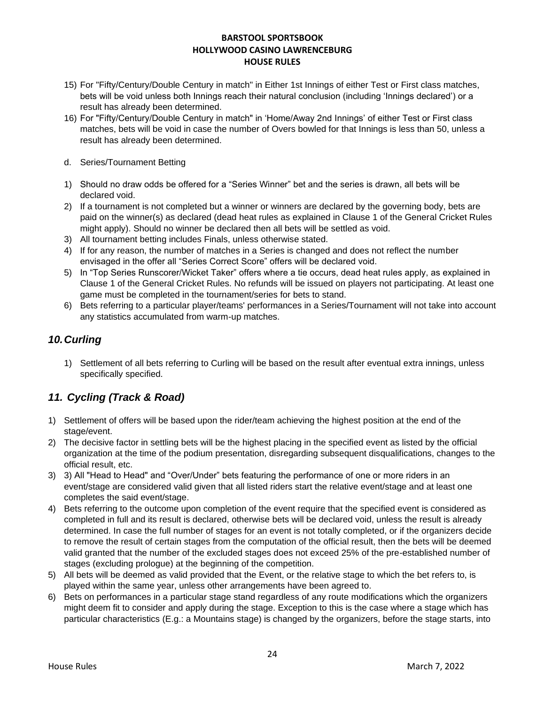- 15) For "Fifty/Century/Double Century in match" in Either 1st Innings of either Test or First class matches, bets will be void unless both Innings reach their natural conclusion (including 'Innings declared') or a result has already been determined.
- 16) For "Fifty/Century/Double Century in match" in 'Home/Away 2nd Innings' of either Test or First class matches, bets will be void in case the number of Overs bowled for that Innings is less than 50, unless a result has already been determined.
- d. Series/Tournament Betting
- 1) Should no draw odds be offered for a "Series Winner" bet and the series is drawn, all bets will be declared void.
- 2) If a tournament is not completed but a winner or winners are declared by the governing body, bets are paid on the winner(s) as declared (dead heat rules as explained in Clause 1 of the General Cricket Rules might apply). Should no winner be declared then all bets will be settled as void.
- 3) All tournament betting includes Finals, unless otherwise stated.
- 4) If for any reason, the number of matches in a Series is changed and does not reflect the number envisaged in the offer all "Series Correct Score" offers will be declared void.
- 5) In "Top Series Runscorer/Wicket Taker" offers where a tie occurs, dead heat rules apply, as explained in Clause 1 of the General Cricket Rules. No refunds will be issued on players not participating. At least one game must be completed in the tournament/series for bets to stand.
- 6) Bets referring to a particular player/teams' performances in a Series/Tournament will not take into account any statistics accumulated from warm-up matches.

### *10.Curling*

1) Settlement of all bets referring to Curling will be based on the result after eventual extra innings, unless specifically specified.

### *11. Cycling (Track & Road)*

- 1) Settlement of offers will be based upon the rider/team achieving the highest position at the end of the stage/event.
- 2) The decisive factor in settling bets will be the highest placing in the specified event as listed by the official organization at the time of the podium presentation, disregarding subsequent disqualifications, changes to the official result, etc.
- 3) 3) All "Head to Head" and "Over/Under" bets featuring the performance of one or more riders in an event/stage are considered valid given that all listed riders start the relative event/stage and at least one completes the said event/stage.
- 4) Bets referring to the outcome upon completion of the event require that the specified event is considered as completed in full and its result is declared, otherwise bets will be declared void, unless the result is already determined. In case the full number of stages for an event is not totally completed, or if the organizers decide to remove the result of certain stages from the computation of the official result, then the bets will be deemed valid granted that the number of the excluded stages does not exceed 25% of the pre-established number of stages (excluding prologue) at the beginning of the competition.
- 5) All bets will be deemed as valid provided that the Event, or the relative stage to which the bet refers to, is played within the same year, unless other arrangements have been agreed to.
- 6) Bets on performances in a particular stage stand regardless of any route modifications which the organizers might deem fit to consider and apply during the stage. Exception to this is the case where a stage which has particular characteristics (E.g.: a Mountains stage) is changed by the organizers, before the stage starts, into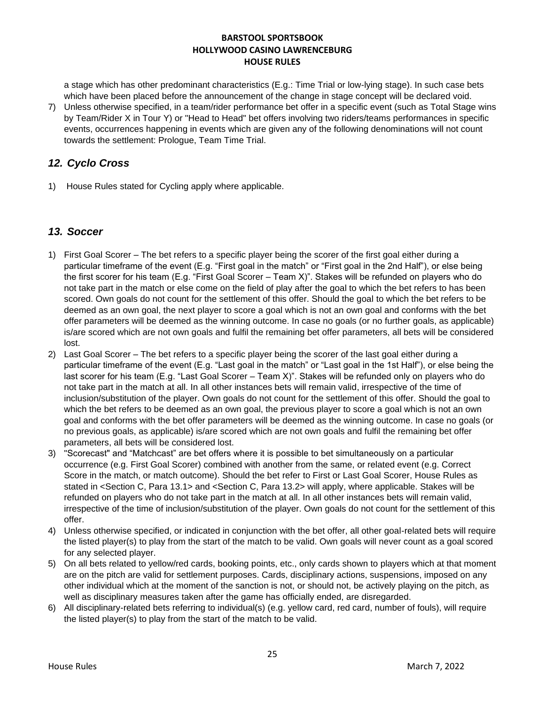a stage which has other predominant characteristics (E.g.: Time Trial or low-lying stage). In such case bets which have been placed before the announcement of the change in stage concept will be declared void.

7) Unless otherwise specified, in a team/rider performance bet offer in a specific event (such as Total Stage wins by Team/Rider X in Tour Y) or "Head to Head" bet offers involving two riders/teams performances in specific events, occurrences happening in events which are given any of the following denominations will not count towards the settlement: Prologue, Team Time Trial.

## *12. Cyclo Cross*

1) House Rules stated for Cycling apply where applicable.

### *13. Soccer*

- 1) First Goal Scorer The bet refers to a specific player being the scorer of the first goal either during a particular timeframe of the event (E.g. "First goal in the match" or "First goal in the 2nd Half"), or else being the first scorer for his team (E.g. "First Goal Scorer – Team X)". Stakes will be refunded on players who do not take part in the match or else come on the field of play after the goal to which the bet refers to has been scored. Own goals do not count for the settlement of this offer. Should the goal to which the bet refers to be deemed as an own goal, the next player to score a goal which is not an own goal and conforms with the bet offer parameters will be deemed as the winning outcome. In case no goals (or no further goals, as applicable) is/are scored which are not own goals and fulfil the remaining bet offer parameters, all bets will be considered lost.
- 2) Last Goal Scorer The bet refers to a specific player being the scorer of the last goal either during a particular timeframe of the event (E.g. "Last goal in the match" or "Last goal in the 1st Half"), or else being the last scorer for his team (E.g. "Last Goal Scorer – Team X)". Stakes will be refunded only on players who do not take part in the match at all. In all other instances bets will remain valid, irrespective of the time of inclusion/substitution of the player. Own goals do not count for the settlement of this offer. Should the goal to which the bet refers to be deemed as an own goal, the previous player to score a goal which is not an own goal and conforms with the bet offer parameters will be deemed as the winning outcome. In case no goals (or no previous goals, as applicable) is/are scored which are not own goals and fulfil the remaining bet offer parameters, all bets will be considered lost.
- 3) "Scorecast" and "Matchcast" are bet offers where it is possible to bet simultaneously on a particular occurrence (e.g. First Goal Scorer) combined with another from the same, or related event (e.g. Correct Score in the match, or match outcome). Should the bet refer to First or Last Goal Scorer, House Rules as stated in <Section C, Para 13.1> and <Section C, Para 13.2> will apply, where applicable. Stakes will be refunded on players who do not take part in the match at all. In all other instances bets will remain valid, irrespective of the time of inclusion/substitution of the player. Own goals do not count for the settlement of this offer.
- 4) Unless otherwise specified, or indicated in conjunction with the bet offer, all other goal-related bets will require the listed player(s) to play from the start of the match to be valid. Own goals will never count as a goal scored for any selected player.
- 5) On all bets related to yellow/red cards, booking points, etc., only cards shown to players which at that moment are on the pitch are valid for settlement purposes. Cards, disciplinary actions, suspensions, imposed on any other individual which at the moment of the sanction is not, or should not, be actively playing on the pitch, as well as disciplinary measures taken after the game has officially ended, are disregarded.
- 6) All disciplinary-related bets referring to individual(s) (e.g. yellow card, red card, number of fouls), will require the listed player(s) to play from the start of the match to be valid.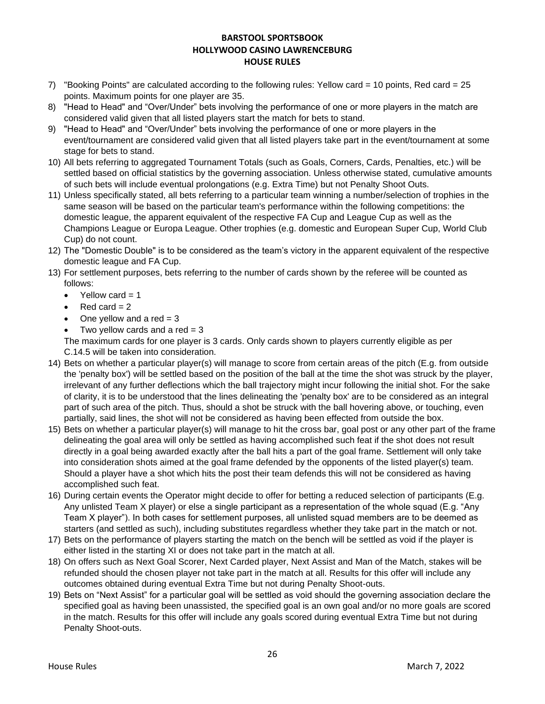- 7) "Booking Points" are calculated according to the following rules: Yellow card = 10 points, Red card = 25 points. Maximum points for one player are 35.
- 8) "Head to Head" and "Over/Under" bets involving the performance of one or more players in the match are considered valid given that all listed players start the match for bets to stand.
- 9) "Head to Head" and "Over/Under" bets involving the performance of one or more players in the event/tournament are considered valid given that all listed players take part in the event/tournament at some stage for bets to stand.
- 10) All bets referring to aggregated Tournament Totals (such as Goals, Corners, Cards, Penalties, etc.) will be settled based on official statistics by the governing association. Unless otherwise stated, cumulative amounts of such bets will include eventual prolongations (e.g. Extra Time) but not Penalty Shoot Outs.
- 11) Unless specifically stated, all bets referring to a particular team winning a number/selection of trophies in the same season will be based on the particular team's performance within the following competitions: the domestic league, the apparent equivalent of the respective FA Cup and League Cup as well as the Champions League or Europa League. Other trophies (e.g. domestic and European Super Cup, World Club Cup) do not count.
- 12) The "Domestic Double" is to be considered as the team's victory in the apparent equivalent of the respective domestic league and FA Cup.
- 13) For settlement purposes, bets referring to the number of cards shown by the referee will be counted as follows:
	- Yellow card  $= 1$
	- $Red$  card = 2
	- One yellow and a red  $= 3$
	- Two yellow cards and a red  $= 3$

The maximum cards for one player is 3 cards. Only cards shown to players currently eligible as per C.14.5 will be taken into consideration.

- 14) Bets on whether a particular player(s) will manage to score from certain areas of the pitch (E.g. from outside the 'penalty box') will be settled based on the position of the ball at the time the shot was struck by the player, irrelevant of any further deflections which the ball trajectory might incur following the initial shot. For the sake of clarity, it is to be understood that the lines delineating the 'penalty box' are to be considered as an integral part of such area of the pitch. Thus, should a shot be struck with the ball hovering above, or touching, even partially, said lines, the shot will not be considered as having been effected from outside the box.
- 15) Bets on whether a particular player(s) will manage to hit the cross bar, goal post or any other part of the frame delineating the goal area will only be settled as having accomplished such feat if the shot does not result directly in a goal being awarded exactly after the ball hits a part of the goal frame. Settlement will only take into consideration shots aimed at the goal frame defended by the opponents of the listed player(s) team. Should a player have a shot which hits the post their team defends this will not be considered as having accomplished such feat.
- 16) During certain events the Operator might decide to offer for betting a reduced selection of participants (E.g. Any unlisted Team X player) or else a single participant as a representation of the whole squad (E.g. "Any Team X player"). In both cases for settlement purposes, all unlisted squad members are to be deemed as starters (and settled as such), including substitutes regardless whether they take part in the match or not.
- 17) Bets on the performance of players starting the match on the bench will be settled as void if the player is either listed in the starting XI or does not take part in the match at all.
- 18) On offers such as Next Goal Scorer, Next Carded player, Next Assist and Man of the Match, stakes will be refunded should the chosen player not take part in the match at all. Results for this offer will include any outcomes obtained during eventual Extra Time but not during Penalty Shoot-outs.
- 19) Bets on "Next Assist" for a particular goal will be settled as void should the governing association declare the specified goal as having been unassisted, the specified goal is an own goal and/or no more goals are scored in the match. Results for this offer will include any goals scored during eventual Extra Time but not during Penalty Shoot-outs.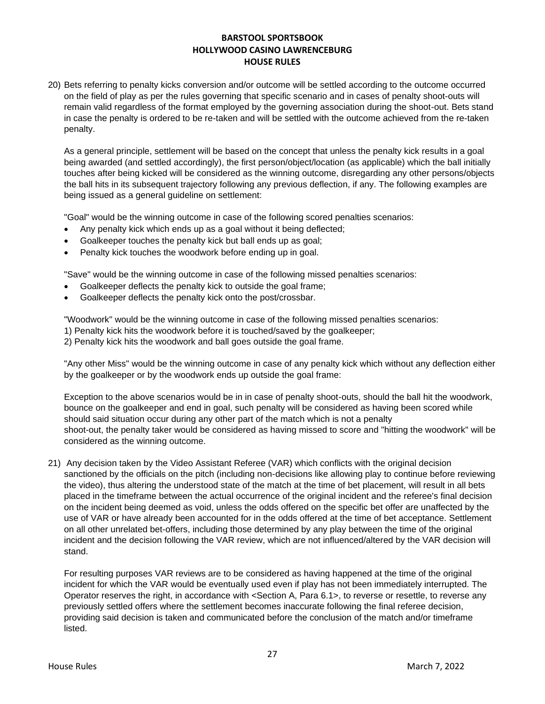20) Bets referring to penalty kicks conversion and/or outcome will be settled according to the outcome occurred on the field of play as per the rules governing that specific scenario and in cases of penalty shoot-outs will remain valid regardless of the format employed by the governing association during the shoot-out. Bets stand in case the penalty is ordered to be re-taken and will be settled with the outcome achieved from the re-taken penalty.

As a general principle, settlement will be based on the concept that unless the penalty kick results in a goal being awarded (and settled accordingly), the first person/object/location (as applicable) which the ball initially touches after being kicked will be considered as the winning outcome, disregarding any other persons/objects the ball hits in its subsequent trajectory following any previous deflection, if any. The following examples are being issued as a general guideline on settlement:

"Goal" would be the winning outcome in case of the following scored penalties scenarios:

- Any penalty kick which ends up as a goal without it being deflected;
- Goalkeeper touches the penalty kick but ball ends up as goal;
- Penalty kick touches the woodwork before ending up in goal.

"Save" would be the winning outcome in case of the following missed penalties scenarios:

- Goalkeeper deflects the penalty kick to outside the goal frame;
- Goalkeeper deflects the penalty kick onto the post/crossbar.

"Woodwork" would be the winning outcome in case of the following missed penalties scenarios:

1) Penalty kick hits the woodwork before it is touched/saved by the goalkeeper;

2) Penalty kick hits the woodwork and ball goes outside the goal frame.

"Any other Miss" would be the winning outcome in case of any penalty kick which without any deflection either by the goalkeeper or by the woodwork ends up outside the goal frame:

Exception to the above scenarios would be in in case of penalty shoot-outs, should the ball hit the woodwork, bounce on the goalkeeper and end in goal, such penalty will be considered as having been scored while should said situation occur during any other part of the match which is not a penalty shoot-out, the penalty taker would be considered as having missed to score and "hitting the woodwork" will be considered as the winning outcome.

21) Any decision taken by the Video Assistant Referee (VAR) which conflicts with the original decision sanctioned by the officials on the pitch (including non-decisions like allowing play to continue before reviewing the video), thus altering the understood state of the match at the time of bet placement, will result in all bets placed in the timeframe between the actual occurrence of the original incident and the referee's final decision on the incident being deemed as void, unless the odds offered on the specific bet offer are unaffected by the use of VAR or have already been accounted for in the odds offered at the time of bet acceptance. Settlement on all other unrelated bet-offers, including those determined by any play between the time of the original incident and the decision following the VAR review, which are not influenced/altered by the VAR decision will stand.

For resulting purposes VAR reviews are to be considered as having happened at the time of the original incident for which the VAR would be eventually used even if play has not been immediately interrupted. The Operator reserves the right, in accordance with <Section A, Para 6.1>, to reverse or resettle, to reverse any previously settled offers where the settlement becomes inaccurate following the final referee decision, providing said decision is taken and communicated before the conclusion of the match and/or timeframe listed.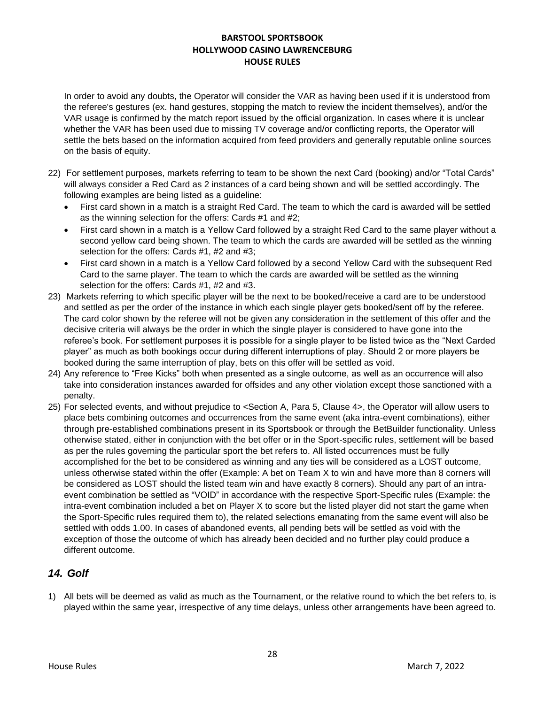In order to avoid any doubts, the Operator will consider the VAR as having been used if it is understood from the referee's gestures (ex. hand gestures, stopping the match to review the incident themselves), and/or the VAR usage is confirmed by the match report issued by the official organization. In cases where it is unclear whether the VAR has been used due to missing TV coverage and/or conflicting reports, the Operator will settle the bets based on the information acquired from feed providers and generally reputable online sources on the basis of equity.

- 22) For settlement purposes, markets referring to team to be shown the next Card (booking) and/or "Total Cards" will always consider a Red Card as 2 instances of a card being shown and will be settled accordingly. The following examples are being listed as a guideline:
	- First card shown in a match is a straight Red Card. The team to which the card is awarded will be settled as the winning selection for the offers: Cards #1 and #2;
	- First card shown in a match is a Yellow Card followed by a straight Red Card to the same player without a second yellow card being shown. The team to which the cards are awarded will be settled as the winning selection for the offers: Cards #1, #2 and #3;
	- First card shown in a match is a Yellow Card followed by a second Yellow Card with the subsequent Red Card to the same player. The team to which the cards are awarded will be settled as the winning selection for the offers: Cards #1, #2 and #3.
- 23) Markets referring to which specific player will be the next to be booked/receive a card are to be understood and settled as per the order of the instance in which each single player gets booked/sent off by the referee. The card color shown by the referee will not be given any consideration in the settlement of this offer and the decisive criteria will always be the order in which the single player is considered to have gone into the referee's book. For settlement purposes it is possible for a single player to be listed twice as the "Next Carded player" as much as both bookings occur during different interruptions of play. Should 2 or more players be booked during the same interruption of play, bets on this offer will be settled as void.
- 24) Any reference to "Free Kicks" both when presented as a single outcome, as well as an occurrence will also take into consideration instances awarded for offsides and any other violation except those sanctioned with a penalty.
- 25) For selected events, and without prejudice to <Section A, Para 5, Clause 4>, the Operator will allow users to place bets combining outcomes and occurrences from the same event (aka intra-event combinations), either through pre-established combinations present in its Sportsbook or through the BetBuilder functionality. Unless otherwise stated, either in conjunction with the bet offer or in the Sport-specific rules, settlement will be based as per the rules governing the particular sport the bet refers to. All listed occurrences must be fully accomplished for the bet to be considered as winning and any ties will be considered as a LOST outcome, unless otherwise stated within the offer (Example: A bet on Team X to win and have more than 8 corners will be considered as LOST should the listed team win and have exactly 8 corners). Should any part of an intraevent combination be settled as "VOID" in accordance with the respective Sport-Specific rules (Example: the intra-event combination included a bet on Player X to score but the listed player did not start the game when the Sport-Specific rules required them to), the related selections emanating from the same event will also be settled with odds 1.00. In cases of abandoned events, all pending bets will be settled as void with the exception of those the outcome of which has already been decided and no further play could produce a different outcome.

# *14. Golf*

1) All bets will be deemed as valid as much as the Tournament, or the relative round to which the bet refers to, is played within the same year, irrespective of any time delays, unless other arrangements have been agreed to.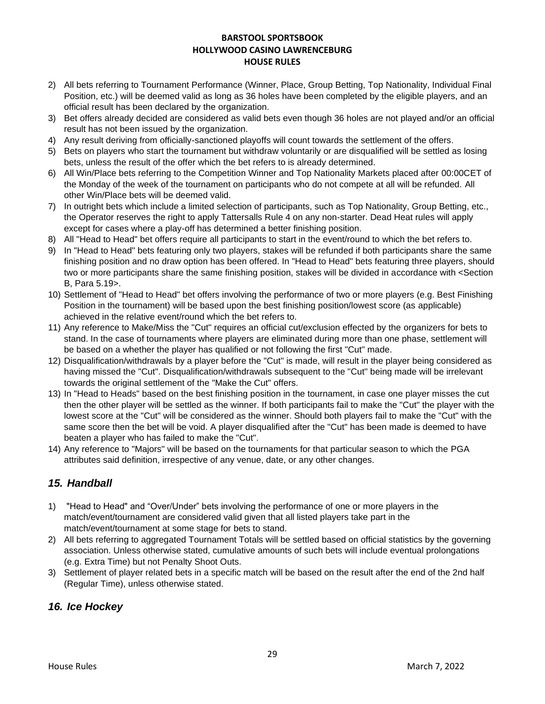- 2) All bets referring to Tournament Performance (Winner, Place, Group Betting, Top Nationality, Individual Final Position, etc.) will be deemed valid as long as 36 holes have been completed by the eligible players, and an official result has been declared by the organization.
- 3) Bet offers already decided are considered as valid bets even though 36 holes are not played and/or an official result has not been issued by the organization.
- 4) Any result deriving from officially-sanctioned playoffs will count towards the settlement of the offers.
- 5) Bets on players who start the tournament but withdraw voluntarily or are disqualified will be settled as losing bets, unless the result of the offer which the bet refers to is already determined.
- 6) All Win/Place bets referring to the Competition Winner and Top Nationality Markets placed after 00:00CET of the Monday of the week of the tournament on participants who do not compete at all will be refunded. All other Win/Place bets will be deemed valid.
- 7) In outright bets which include a limited selection of participants, such as Top Nationality, Group Betting, etc., the Operator reserves the right to apply Tattersalls Rule 4 on any non-starter. Dead Heat rules will apply except for cases where a play-off has determined a better finishing position.
- 8) All "Head to Head" bet offers require all participants to start in the event/round to which the bet refers to.
- 9) In "Head to Head" bets featuring only two players, stakes will be refunded if both participants share the same finishing position and no draw option has been offered. In "Head to Head" bets featuring three players, should two or more participants share the same finishing position, stakes will be divided in accordance with <Section B, Para 5.19>.
- 10) Settlement of "Head to Head" bet offers involving the performance of two or more players (e.g. Best Finishing Position in the tournament) will be based upon the best finishing position/lowest score (as applicable) achieved in the relative event/round which the bet refers to.
- 11) Any reference to Make/Miss the "Cut" requires an official cut/exclusion effected by the organizers for bets to stand. In the case of tournaments where players are eliminated during more than one phase, settlement will be based on a whether the player has qualified or not following the first "Cut" made.
- 12) Disqualification/withdrawals by a player before the "Cut" is made, will result in the player being considered as having missed the "Cut". Disqualification/withdrawals subsequent to the "Cut" being made will be irrelevant towards the original settlement of the "Make the Cut" offers.
- 13) In "Head to Heads" based on the best finishing position in the tournament, in case one player misses the cut then the other player will be settled as the winner. If both participants fail to make the "Cut" the player with the lowest score at the "Cut" will be considered as the winner. Should both players fail to make the "Cut" with the same score then the bet will be void. A player disqualified after the "Cut" has been made is deemed to have beaten a player who has failed to make the "Cut".
- 14) Any reference to "Majors" will be based on the tournaments for that particular season to which the PGA attributes said definition, irrespective of any venue, date, or any other changes.

# *15. Handball*

- 1) "Head to Head" and "Over/Under" bets involving the performance of one or more players in the match/event/tournament are considered valid given that all listed players take part in the match/event/tournament at some stage for bets to stand.
- 2) All bets referring to aggregated Tournament Totals will be settled based on official statistics by the governing association. Unless otherwise stated, cumulative amounts of such bets will include eventual prolongations (e.g. Extra Time) but not Penalty Shoot Outs.
- 3) Settlement of player related bets in a specific match will be based on the result after the end of the 2nd half (Regular Time), unless otherwise stated.

### *16. Ice Hockey*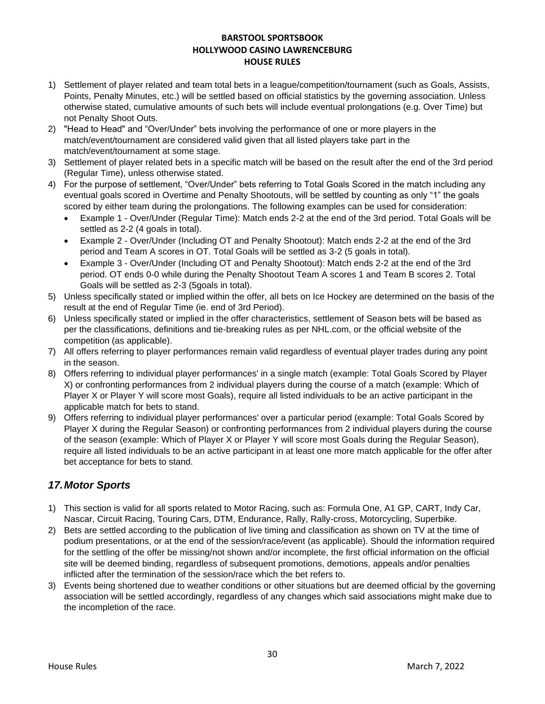- 1) Settlement of player related and team total bets in a league/competition/tournament (such as Goals, Assists, Points, Penalty Minutes, etc.) will be settled based on official statistics by the governing association. Unless otherwise stated, cumulative amounts of such bets will include eventual prolongations (e.g. Over Time) but not Penalty Shoot Outs.
- 2) "Head to Head" and "Over/Under" bets involving the performance of one or more players in the match/event/tournament are considered valid given that all listed players take part in the match/event/tournament at some stage.
- 3) Settlement of player related bets in a specific match will be based on the result after the end of the 3rd period (Regular Time), unless otherwise stated.
- 4) For the purpose of settlement, "Over/Under" bets referring to Total Goals Scored in the match including any eventual goals scored in Overtime and Penalty Shootouts, will be settled by counting as only "1" the goals scored by either team during the prolongations. The following examples can be used for consideration:
	- Example 1 Over/Under (Regular Time): Match ends 2-2 at the end of the 3rd period. Total Goals will be settled as 2-2 (4 goals in total).
	- Example 2 Over/Under (Including OT and Penalty Shootout): Match ends 2-2 at the end of the 3rd period and Team A scores in OT. Total Goals will be settled as 3-2 (5 goals in total).
	- Example 3 Over/Under (Including OT and Penalty Shootout): Match ends 2-2 at the end of the 3rd period. OT ends 0-0 while during the Penalty Shootout Team A scores 1 and Team B scores 2. Total Goals will be settled as 2-3 (5goals in total).
- 5) Unless specifically stated or implied within the offer, all bets on Ice Hockey are determined on the basis of the result at the end of Regular Time (ie. end of 3rd Period).
- 6) Unless specifically stated or implied in the offer characteristics, settlement of Season bets will be based as per the classifications, definitions and tie-breaking rules as per NHL.com, or the official website of the competition (as applicable).
- 7) All offers referring to player performances remain valid regardless of eventual player trades during any point in the season.
- 8) Offers referring to individual player performances' in a single match (example: Total Goals Scored by Player X) or confronting performances from 2 individual players during the course of a match (example: Which of Player X or Player Y will score most Goals), require all listed individuals to be an active participant in the applicable match for bets to stand.
- 9) Offers referring to individual player performances' over a particular period (example: Total Goals Scored by Player X during the Regular Season) or confronting performances from 2 individual players during the course of the season (example: Which of Player X or Player Y will score most Goals during the Regular Season), require all listed individuals to be an active participant in at least one more match applicable for the offer after bet acceptance for bets to stand.

# *17.Motor Sports*

- 1) This section is valid for all sports related to Motor Racing, such as: Formula One, A1 GP, CART, Indy Car, Nascar, Circuit Racing, Touring Cars, DTM, Endurance, Rally, Rally-cross, Motorcycling, Superbike.
- 2) Bets are settled according to the publication of live timing and classification as shown on TV at the time of podium presentations, or at the end of the session/race/event (as applicable). Should the information required for the settling of the offer be missing/not shown and/or incomplete, the first official information on the official site will be deemed binding, regardless of subsequent promotions, demotions, appeals and/or penalties inflicted after the termination of the session/race which the bet refers to.
- 3) Events being shortened due to weather conditions or other situations but are deemed official by the governing association will be settled accordingly, regardless of any changes which said associations might make due to the incompletion of the race.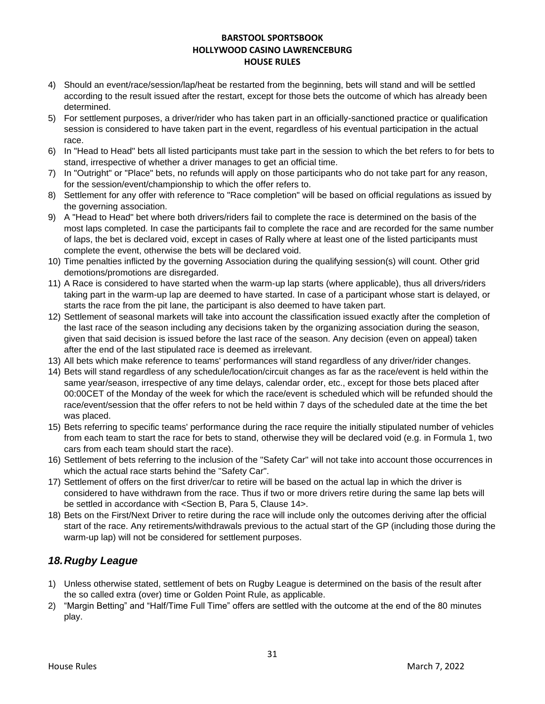- 4) Should an event/race/session/lap/heat be restarted from the beginning, bets will stand and will be settled according to the result issued after the restart, except for those bets the outcome of which has already been determined.
- 5) For settlement purposes, a driver/rider who has taken part in an officially-sanctioned practice or qualification session is considered to have taken part in the event, regardless of his eventual participation in the actual race.
- 6) In "Head to Head" bets all listed participants must take part in the session to which the bet refers to for bets to stand, irrespective of whether a driver manages to get an official time.
- 7) In "Outright" or "Place" bets, no refunds will apply on those participants who do not take part for any reason, for the session/event/championship to which the offer refers to.
- 8) Settlement for any offer with reference to "Race completion" will be based on official regulations as issued by the governing association.
- 9) A "Head to Head" bet where both drivers/riders fail to complete the race is determined on the basis of the most laps completed. In case the participants fail to complete the race and are recorded for the same number of laps, the bet is declared void, except in cases of Rally where at least one of the listed participants must complete the event, otherwise the bets will be declared void.
- 10) Time penalties inflicted by the governing Association during the qualifying session(s) will count. Other grid demotions/promotions are disregarded.
- 11) A Race is considered to have started when the warm-up lap starts (where applicable), thus all drivers/riders taking part in the warm-up lap are deemed to have started. In case of a participant whose start is delayed, or starts the race from the pit lane, the participant is also deemed to have taken part.
- 12) Settlement of seasonal markets will take into account the classification issued exactly after the completion of the last race of the season including any decisions taken by the organizing association during the season, given that said decision is issued before the last race of the season. Any decision (even on appeal) taken after the end of the last stipulated race is deemed as irrelevant.
- 13) All bets which make reference to teams' performances will stand regardless of any driver/rider changes.
- 14) Bets will stand regardless of any schedule/location/circuit changes as far as the race/event is held within the same year/season, irrespective of any time delays, calendar order, etc., except for those bets placed after 00:00CET of the Monday of the week for which the race/event is scheduled which will be refunded should the race/event/session that the offer refers to not be held within 7 days of the scheduled date at the time the bet was placed.
- 15) Bets referring to specific teams' performance during the race require the initially stipulated number of vehicles from each team to start the race for bets to stand, otherwise they will be declared void (e.g. in Formula 1, two cars from each team should start the race).
- 16) Settlement of bets referring to the inclusion of the "Safety Car" will not take into account those occurrences in which the actual race starts behind the "Safety Car".
- 17) Settlement of offers on the first driver/car to retire will be based on the actual lap in which the driver is considered to have withdrawn from the race. Thus if two or more drivers retire during the same lap bets will be settled in accordance with <Section B, Para 5, Clause 14>.
- 18) Bets on the First/Next Driver to retire during the race will include only the outcomes deriving after the official start of the race. Any retirements/withdrawals previous to the actual start of the GP (including those during the warm-up lap) will not be considered for settlement purposes.

# *18.Rugby League*

- 1) Unless otherwise stated, settlement of bets on Rugby League is determined on the basis of the result after the so called extra (over) time or Golden Point Rule, as applicable.
- 2) "Margin Betting" and "Half/Time Full Time" offers are settled with the outcome at the end of the 80 minutes play.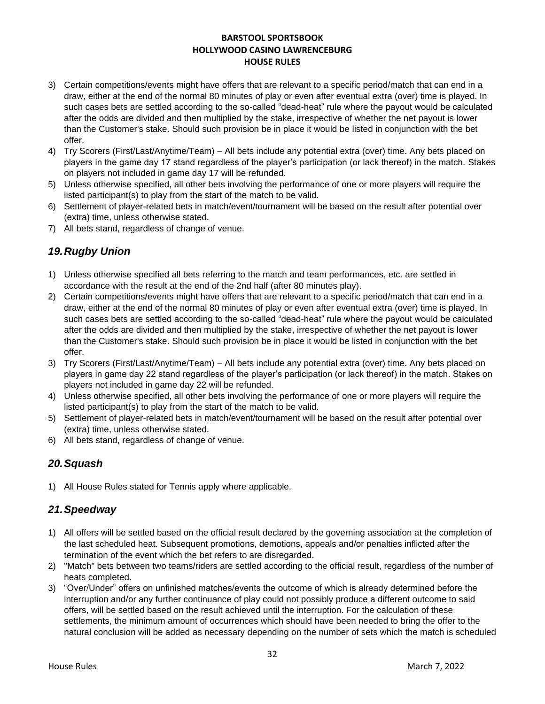- 3) Certain competitions/events might have offers that are relevant to a specific period/match that can end in a draw, either at the end of the normal 80 minutes of play or even after eventual extra (over) time is played. In such cases bets are settled according to the so-called "dead-heat" rule where the payout would be calculated after the odds are divided and then multiplied by the stake, irrespective of whether the net payout is lower than the Customer's stake. Should such provision be in place it would be listed in conjunction with the bet offer.
- 4) Try Scorers (First/Last/Anytime/Team) All bets include any potential extra (over) time. Any bets placed on players in the game day 17 stand regardless of the player's participation (or lack thereof) in the match. Stakes on players not included in game day 17 will be refunded.
- 5) Unless otherwise specified, all other bets involving the performance of one or more players will require the listed participant(s) to play from the start of the match to be valid.
- 6) Settlement of player-related bets in match/event/tournament will be based on the result after potential over (extra) time, unless otherwise stated.
- 7) All bets stand, regardless of change of venue.

# *19.Rugby Union*

- 1) Unless otherwise specified all bets referring to the match and team performances, etc. are settled in accordance with the result at the end of the 2nd half (after 80 minutes play).
- 2) Certain competitions/events might have offers that are relevant to a specific period/match that can end in a draw, either at the end of the normal 80 minutes of play or even after eventual extra (over) time is played. In such cases bets are settled according to the so-called "dead-heat" rule where the payout would be calculated after the odds are divided and then multiplied by the stake, irrespective of whether the net payout is lower than the Customer's stake. Should such provision be in place it would be listed in conjunction with the bet offer.
- 3) Try Scorers (First/Last/Anytime/Team) All bets include any potential extra (over) time. Any bets placed on players in game day 22 stand regardless of the player's participation (or lack thereof) in the match. Stakes on players not included in game day 22 will be refunded.
- 4) Unless otherwise specified, all other bets involving the performance of one or more players will require the listed participant(s) to play from the start of the match to be valid.
- 5) Settlement of player-related bets in match/event/tournament will be based on the result after potential over (extra) time, unless otherwise stated.
- 6) All bets stand, regardless of change of venue.

# *20.Squash*

1) All House Rules stated for Tennis apply where applicable.

### *21.Speedway*

- 1) All offers will be settled based on the official result declared by the governing association at the completion of the last scheduled heat. Subsequent promotions, demotions, appeals and/or penalties inflicted after the termination of the event which the bet refers to are disregarded.
- 2) "Match" bets between two teams/riders are settled according to the official result, regardless of the number of heats completed.
- 3) "Over/Under" offers on unfinished matches/events the outcome of which is already determined before the interruption and/or any further continuance of play could not possibly produce a different outcome to said offers, will be settled based on the result achieved until the interruption. For the calculation of these settlements, the minimum amount of occurrences which should have been needed to bring the offer to the natural conclusion will be added as necessary depending on the number of sets which the match is scheduled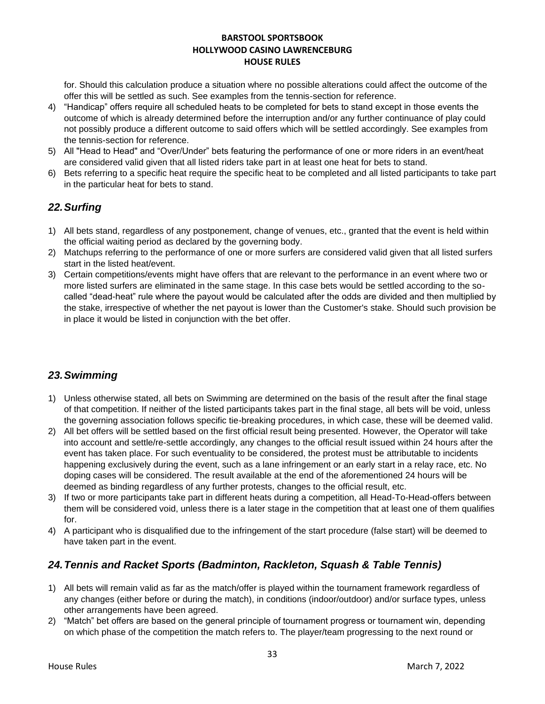for. Should this calculation produce a situation where no possible alterations could affect the outcome of the offer this will be settled as such. See examples from the tennis-section for reference.

- 4) "Handicap" offers require all scheduled heats to be completed for bets to stand except in those events the outcome of which is already determined before the interruption and/or any further continuance of play could not possibly produce a different outcome to said offers which will be settled accordingly. See examples from the tennis-section for reference.
- 5) All "Head to Head" and "Over/Under" bets featuring the performance of one or more riders in an event/heat are considered valid given that all listed riders take part in at least one heat for bets to stand.
- 6) Bets referring to a specific heat require the specific heat to be completed and all listed participants to take part in the particular heat for bets to stand.

# *22.Surfing*

- 1) All bets stand, regardless of any postponement, change of venues, etc., granted that the event is held within the official waiting period as declared by the governing body.
- 2) Matchups referring to the performance of one or more surfers are considered valid given that all listed surfers start in the listed heat/event.
- 3) Certain competitions/events might have offers that are relevant to the performance in an event where two or more listed surfers are eliminated in the same stage. In this case bets would be settled according to the socalled "dead-heat" rule where the payout would be calculated after the odds are divided and then multiplied by the stake, irrespective of whether the net payout is lower than the Customer's stake. Should such provision be in place it would be listed in conjunction with the bet offer.

# *23.Swimming*

- 1) Unless otherwise stated, all bets on Swimming are determined on the basis of the result after the final stage of that competition. If neither of the listed participants takes part in the final stage, all bets will be void, unless the governing association follows specific tie-breaking procedures, in which case, these will be deemed valid.
- 2) All bet offers will be settled based on the first official result being presented. However, the Operator will take into account and settle/re-settle accordingly, any changes to the official result issued within 24 hours after the event has taken place. For such eventuality to be considered, the protest must be attributable to incidents happening exclusively during the event, such as a lane infringement or an early start in a relay race, etc. No doping cases will be considered. The result available at the end of the aforementioned 24 hours will be deemed as binding regardless of any further protests, changes to the official result, etc.
- 3) If two or more participants take part in different heats during a competition, all Head-To-Head-offers between them will be considered void, unless there is a later stage in the competition that at least one of them qualifies for.
- 4) A participant who is disqualified due to the infringement of the start procedure (false start) will be deemed to have taken part in the event.

# *24.Tennis and Racket Sports (Badminton, Rackleton, Squash & Table Tennis)*

- 1) All bets will remain valid as far as the match/offer is played within the tournament framework regardless of any changes (either before or during the match), in conditions (indoor/outdoor) and/or surface types, unless other arrangements have been agreed.
- 2) "Match" bet offers are based on the general principle of tournament progress or tournament win, depending on which phase of the competition the match refers to. The player/team progressing to the next round or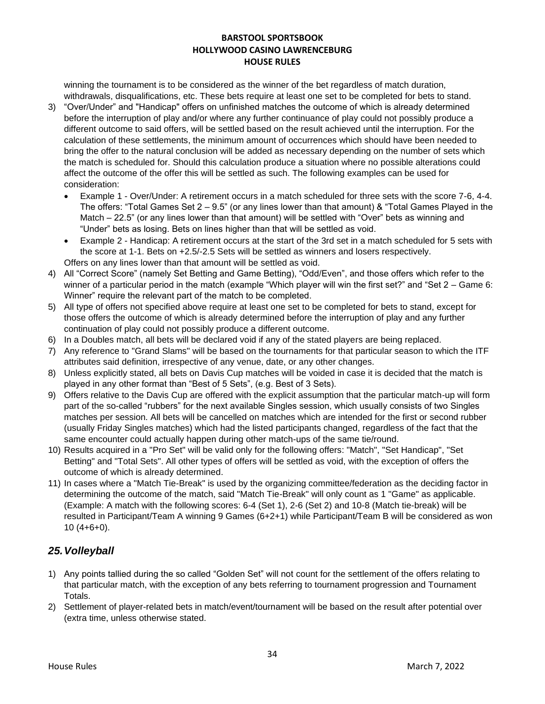winning the tournament is to be considered as the winner of the bet regardless of match duration, withdrawals, disqualifications, etc. These bets require at least one set to be completed for bets to stand.

- 3) "Over/Under" and "Handicap" offers on unfinished matches the outcome of which is already determined before the interruption of play and/or where any further continuance of play could not possibly produce a different outcome to said offers, will be settled based on the result achieved until the interruption. For the calculation of these settlements, the minimum amount of occurrences which should have been needed to bring the offer to the natural conclusion will be added as necessary depending on the number of sets which the match is scheduled for. Should this calculation produce a situation where no possible alterations could affect the outcome of the offer this will be settled as such. The following examples can be used for consideration:
	- Example 1 Over/Under: A retirement occurs in a match scheduled for three sets with the score 7-6, 4-4. The offers: "Total Games Set 2 – 9.5" (or any lines lower than that amount) & "Total Games Played in the Match – 22.5" (or any lines lower than that amount) will be settled with "Over" bets as winning and "Under" bets as losing. Bets on lines higher than that will be settled as void.
	- Example 2 Handicap: A retirement occurs at the start of the 3rd set in a match scheduled for 5 sets with the score at 1-1. Bets on +2.5/-2.5 Sets will be settled as winners and losers respectively. Offers on any lines lower than that amount will be settled as void.
- 4) All "Correct Score" (namely Set Betting and Game Betting), "Odd/Even", and those offers which refer to the winner of a particular period in the match (example "Which player will win the first set?" and "Set 2 – Game 6: Winner" require the relevant part of the match to be completed.
- 5) All type of offers not specified above require at least one set to be completed for bets to stand, except for those offers the outcome of which is already determined before the interruption of play and any further continuation of play could not possibly produce a different outcome.
- 6) In a Doubles match, all bets will be declared void if any of the stated players are being replaced.
- 7) Any reference to "Grand Slams" will be based on the tournaments for that particular season to which the ITF attributes said definition, irrespective of any venue, date, or any other changes.
- 8) Unless explicitly stated, all bets on Davis Cup matches will be voided in case it is decided that the match is played in any other format than "Best of 5 Sets", (e.g. Best of 3 Sets).
- 9) Offers relative to the Davis Cup are offered with the explicit assumption that the particular match-up will form part of the so-called "rubbers" for the next available Singles session, which usually consists of two Singles matches per session. All bets will be cancelled on matches which are intended for the first or second rubber (usually Friday Singles matches) which had the listed participants changed, regardless of the fact that the same encounter could actually happen during other match-ups of the same tie/round.
- 10) Results acquired in a "Pro Set" will be valid only for the following offers: "Match", "Set Handicap", "Set Betting" and "Total Sets". All other types of offers will be settled as void, with the exception of offers the outcome of which is already determined.
- 11) In cases where a "Match Tie-Break" is used by the organizing committee/federation as the deciding factor in determining the outcome of the match, said "Match Tie-Break" will only count as 1 "Game" as applicable. (Example: A match with the following scores: 6-4 (Set 1), 2-6 (Set 2) and 10-8 (Match tie-break) will be resulted in Participant/Team A winning 9 Games (6+2+1) while Participant/Team B will be considered as won 10 (4+6+0).

# *25.Volleyball*

- 1) Any points tallied during the so called "Golden Set" will not count for the settlement of the offers relating to that particular match, with the exception of any bets referring to tournament progression and Tournament Totals.
- 2) Settlement of player-related bets in match/event/tournament will be based on the result after potential over (extra time, unless otherwise stated.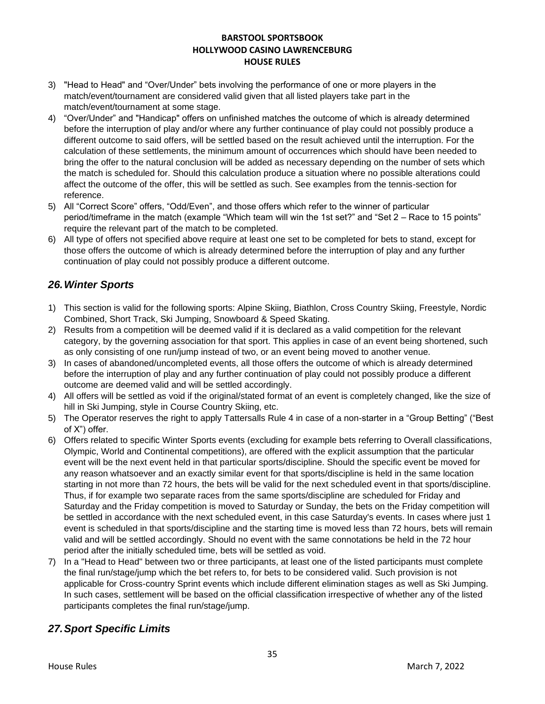- 3) "Head to Head" and "Over/Under" bets involving the performance of one or more players in the match/event/tournament are considered valid given that all listed players take part in the match/event/tournament at some stage.
- 4) "Over/Under" and "Handicap" offers on unfinished matches the outcome of which is already determined before the interruption of play and/or where any further continuance of play could not possibly produce a different outcome to said offers, will be settled based on the result achieved until the interruption. For the calculation of these settlements, the minimum amount of occurrences which should have been needed to bring the offer to the natural conclusion will be added as necessary depending on the number of sets which the match is scheduled for. Should this calculation produce a situation where no possible alterations could affect the outcome of the offer, this will be settled as such. See examples from the tennis-section for reference.
- 5) All "Correct Score" offers, "Odd/Even", and those offers which refer to the winner of particular period/timeframe in the match (example "Which team will win the 1st set?" and "Set 2 – Race to 15 points" require the relevant part of the match to be completed.
- 6) All type of offers not specified above require at least one set to be completed for bets to stand, except for those offers the outcome of which is already determined before the interruption of play and any further continuation of play could not possibly produce a different outcome.

### *26.Winter Sports*

- 1) This section is valid for the following sports: Alpine Skiing, Biathlon, Cross Country Skiing, Freestyle, Nordic Combined, Short Track, Ski Jumping, Snowboard & Speed Skating.
- 2) Results from a competition will be deemed valid if it is declared as a valid competition for the relevant category, by the governing association for that sport. This applies in case of an event being shortened, such as only consisting of one run/jump instead of two, or an event being moved to another venue.
- 3) In cases of abandoned/uncompleted events, all those offers the outcome of which is already determined before the interruption of play and any further continuation of play could not possibly produce a different outcome are deemed valid and will be settled accordingly.
- 4) All offers will be settled as void if the original/stated format of an event is completely changed, like the size of hill in Ski Jumping, style in Course Country Skiing, etc.
- 5) The Operator reserves the right to apply Tattersalls Rule 4 in case of a non-starter in a "Group Betting" ("Best of X") offer.
- 6) Offers related to specific Winter Sports events (excluding for example bets referring to Overall classifications, Olympic, World and Continental competitions), are offered with the explicit assumption that the particular event will be the next event held in that particular sports/discipline. Should the specific event be moved for any reason whatsoever and an exactly similar event for that sports/discipline is held in the same location starting in not more than 72 hours, the bets will be valid for the next scheduled event in that sports/discipline. Thus, if for example two separate races from the same sports/discipline are scheduled for Friday and Saturday and the Friday competition is moved to Saturday or Sunday, the bets on the Friday competition will be settled in accordance with the next scheduled event, in this case Saturday's events. In cases where just 1 event is scheduled in that sports/discipline and the starting time is moved less than 72 hours, bets will remain valid and will be settled accordingly. Should no event with the same connotations be held in the 72 hour period after the initially scheduled time, bets will be settled as void.
- 7) In a "Head to Head" between two or three participants, at least one of the listed participants must complete the final run/stage/jump which the bet refers to, for bets to be considered valid. Such provision is not applicable for Cross-country Sprint events which include different elimination stages as well as Ski Jumping. In such cases, settlement will be based on the official classification irrespective of whether any of the listed participants completes the final run/stage/jump.

# *27.Sport Specific Limits*